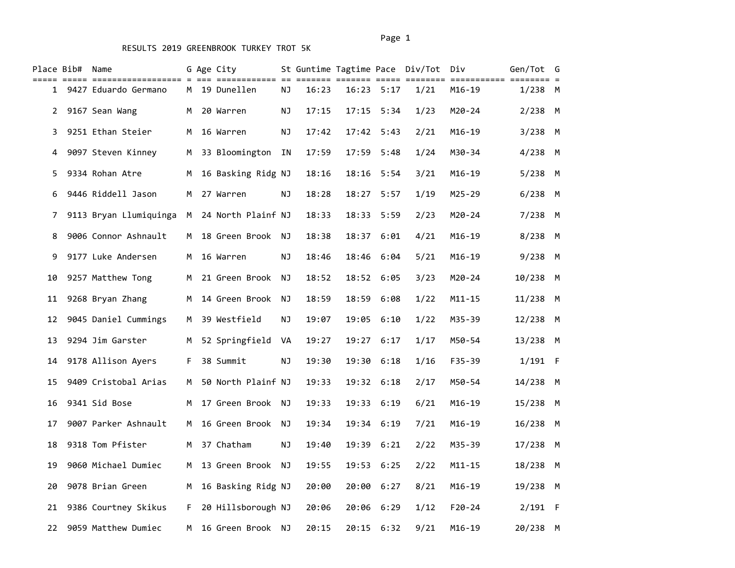|             | Place Bib# Name |                        |    | G Age City           |    |       |            |              | St Guntime Tagtime Pace Div/Tot Div |            | Gen/Tot G  |  |
|-------------|-----------------|------------------------|----|----------------------|----|-------|------------|--------------|-------------------------------------|------------|------------|--|
|             |                 | 1 9427 Eduardo Germano |    | M 19 Dunellen        | ΝJ | 16:23 |            | 16:23 5:17   | 1/21                                | $M16 - 19$ | $1/238$ M  |  |
| $2^{\circ}$ |                 | 9167 Sean Wang         |    | M 20 Warren          | ΝJ | 17:15 |            | $17:15$ 5:34 | 1/23                                | $M20 - 24$ | $2/238$ M  |  |
| 3           |                 | 9251 Ethan Steier      | M  | 16 Warren            | ΝJ | 17:42 |            | $17:42$ 5:43 | 2/21                                | $M16 - 19$ | $3/238$ M  |  |
| 4           |                 | 9097 Steven Kinney     |    | M 33 Bloomington     | IN | 17:59 | 17:59 5:48 |              | 1/24                                | M30-34     | $4/238$ M  |  |
| 5.          |                 | 9334 Rohan Atre        |    | M 16 Basking Ridg NJ |    | 18:16 |            | 18:16 5:54   | 3/21                                | $M16-19$   | $5/238$ M  |  |
| 6           |                 | 9446 Riddell Jason     | M  | 27 Warren            | ΝJ | 18:28 |            | 18:27 5:57   | 1/19                                | $M25 - 29$ | $6/238$ M  |  |
| 7           |                 | 9113 Bryan Llumiquinga |    | M 24 North Plainf NJ |    | 18:33 |            | 18:33 5:59   | 2/23                                | $M20 - 24$ | $7/238$ M  |  |
| 8           |                 | 9006 Connor Ashnault   |    | M 18 Green Brook NJ  |    | 18:38 |            | 18:37 6:01   | 4/21                                | $M16-19$   | 8/238 M    |  |
| 9           |                 | 9177 Luke Andersen     | M  | 16 Warren            | ΝJ | 18:46 |            | 18:46 6:04   | 5/21                                | $M16-19$   | $9/238$ M  |  |
| 10          |                 | 9257 Matthew Tong      | м  | 21 Green Brook       | NJ | 18:52 |            | 18:52 6:05   | 3/23                                | M20-24     | 10/238 M   |  |
| 11          |                 | 9268 Bryan Zhang       |    | M 14 Green Brook NJ  |    | 18:59 | 18:59 6:08 |              | 1/22                                | $M11 - 15$ | 11/238 M   |  |
| 12          |                 | 9045 Daniel Cummings   |    | M 39 Westfield       | ΝJ | 19:07 |            | 19:05 6:10   | 1/22                                | M35-39     | 12/238 M   |  |
| 13          |                 | 9294 Jim Garster       | М  | 52 Springfield VA    |    | 19:27 |            | 19:27 6:17   | 1/17                                | M50-54     | 13/238 M   |  |
| 14          |                 | 9178 Allison Ayers     |    | F 38 Summit          | ΝJ | 19:30 |            | 19:30 6:18   | 1/16                                | F35-39     | $1/191$ F  |  |
| 15          |                 | 9409 Cristobal Arias   |    | M 50 North Plainf NJ |    | 19:33 |            | 19:32 6:18   | 2/17                                | M50-54     | 14/238 M   |  |
| 16          |                 | 9341 Sid Bose          | M  | 17 Green Brook NJ    |    | 19:33 |            | 19:33 6:19   | 6/21                                | $M16 - 19$ | 15/238 M   |  |
| 17          |                 | 9007 Parker Ashnault   |    | M 16 Green Brook NJ  |    | 19:34 |            | 19:34 6:19   | 7/21                                | $M16 - 19$ | $16/238$ M |  |
| 18          |                 | 9318 Tom Pfister       |    | M 37 Chatham         | ΝJ | 19:40 |            | 19:39 6:21   | 2/22                                | M35-39     | $17/238$ M |  |
| 19          |                 | 9060 Michael Dumiec    | M  | 13 Green Brook NJ    |    | 19:55 |            | 19:53 6:25   | 2/22                                | $M11 - 15$ | 18/238 M   |  |
| 20          |                 | 9078 Brian Green       |    | M 16 Basking Ridg NJ |    | 20:00 | 20:00 6:27 |              | 8/21                                | $M16 - 19$ | 19/238 M   |  |
| 21          |                 | 9386 Courtney Skikus   | F. | 20 Hillsborough NJ   |    | 20:06 | 20:06 6:29 |              | 1/12                                | $F20 - 24$ | $2/191$ F  |  |
| 22          |                 | 9059 Matthew Dumiec    | M  | 16 Green Brook NJ    |    | 20:15 |            | 20:15 6:32   | 9/21                                | $M16 - 19$ | 20/238 M   |  |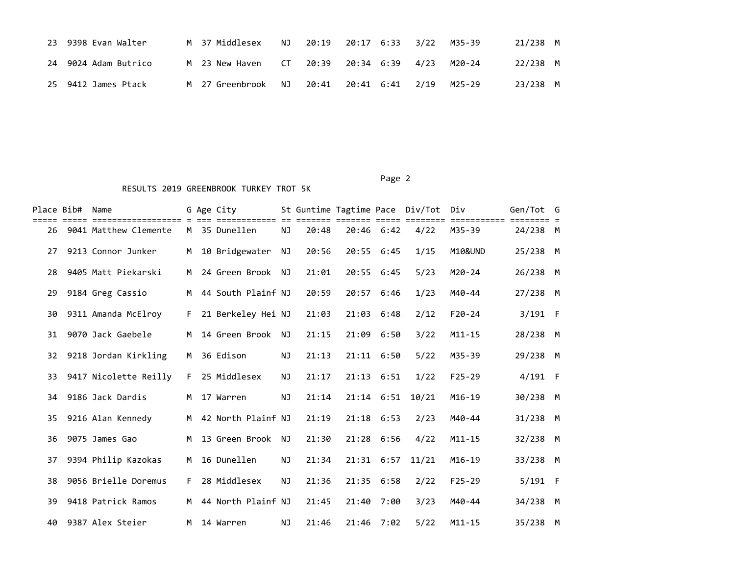|    | 23 9398 Evan Walter | M 37 Middlesex    | NJ.  | 20:19 20:17 6:33 3/22 |  | M35-39 | 21/238 M |  |
|----|---------------------|-------------------|------|-----------------------|--|--------|----------|--|
| 24 | 9024 Adam Butrico   | M 23 New Haven    | CT – | 20:39 20:34 6:39 4/23 |  | M20-24 | 22/238 M |  |
|    | 25 9412 James Ptack | M   27 Greenbrook | NJ.  |                       |  | M25-29 | 23/238 M |  |

| Place Bib# | Name                                          |     | G Age City         |           |       | St Guntime Tagtime Pace Div/Tot |              |       | Div                            | Gen/Tot G |  |
|------------|-----------------------------------------------|-----|--------------------|-----------|-------|---------------------------------|--------------|-------|--------------------------------|-----------|--|
| 26         | ====================<br>9041 Matthew Clemente |     | M 35 Dunellen      | <b>NJ</b> | 20:48 |                                 | 20:46 6:42   | 4/22  | ========= ======== =<br>M35-39 | 24/238 M  |  |
| 27         | 9213 Connor Junker                            | M   | 10 Bridgewater     | NJ        | 20:56 | 20:55 6:45                      |              | 1/15  | M10&UND                        | 25/238 M  |  |
| 28         | 9405 Matt Piekarski                           | M   | 24 Green Brook NJ  |           | 21:01 | 20:55 6:45                      |              | 5/23  | $M20 - 24$                     | 26/238 M  |  |
| 29         | 9184 Greg Cassio                              | M   | 44 South Plainf NJ |           | 20:59 | 20:57 6:46                      |              | 1/23  | M40-44                         | 27/238 M  |  |
| 30         | 9311 Amanda McElroy                           | F.  | 21 Berkeley Hei NJ |           | 21:03 |                                 | $21:03$ 6:48 | 2/12  | $F20-24$                       | $3/191$ F |  |
| 31         | 9070 Jack Gaebele                             | M   | 14 Green Brook     | NJ        | 21:15 | 21:09                           | 6:50         | 3/22  | $M11 - 15$                     | 28/238 M  |  |
| 32         | 9218 Jordan Kirkling                          | M   | 36 Edison          | NJ        | 21:13 | 21:11 6:50                      |              | 5/22  | M35-39                         | 29/238 M  |  |
| 33         | 9417 Nicolette Reilly                         | F.  | 25 Middlesex       | <b>NJ</b> | 21:17 | 21:13 6:51                      |              | 1/22  | $F25 - 29$                     | $4/191$ F |  |
| 34         | 9186 Jack Dardis                              | M   | 17 Warren          | <b>NJ</b> | 21:14 |                                 | $21:14$ 6:51 | 10/21 | $M16 - 19$                     | 30/238 M  |  |
| 35         | 9216 Alan Kennedy                             | M . | 42 North Plainf NJ |           | 21:19 | 21:18 6:53                      |              | 2/23  | M40-44                         | 31/238 M  |  |
| 36         | 9075 James Gao                                | M   | 13 Green Brook     | <b>NJ</b> | 21:30 | 21:28 6:56                      |              | 4/22  | $M11 - 15$                     | 32/238 M  |  |
| 37         | 9394 Philip Kazokas                           | M   | 16 Dunellen        | <b>NJ</b> | 21:34 |                                 | $21:31$ 6:57 | 11/21 | $M16 - 19$                     | 33/238 M  |  |
| 38         | 9056 Brielle Doremus                          | F.  | 28 Middlesex       | <b>NJ</b> | 21:36 |                                 | 21:35 6:58   | 2/22  | $F25 - 29$                     | $5/191$ F |  |
| 39         | 9418 Patrick Ramos                            | M   | 44 North Plainf NJ |           | 21:45 | 21:40                           | 7:00         | 3/23  | M40-44                         | 34/238 M  |  |
| 40         | 9387 Alex Steier                              | M   | 14 Warren          | NJ.       | 21:46 |                                 | 21:46 7:02   | 5/22  | $M11 - 15$                     | 35/238 M  |  |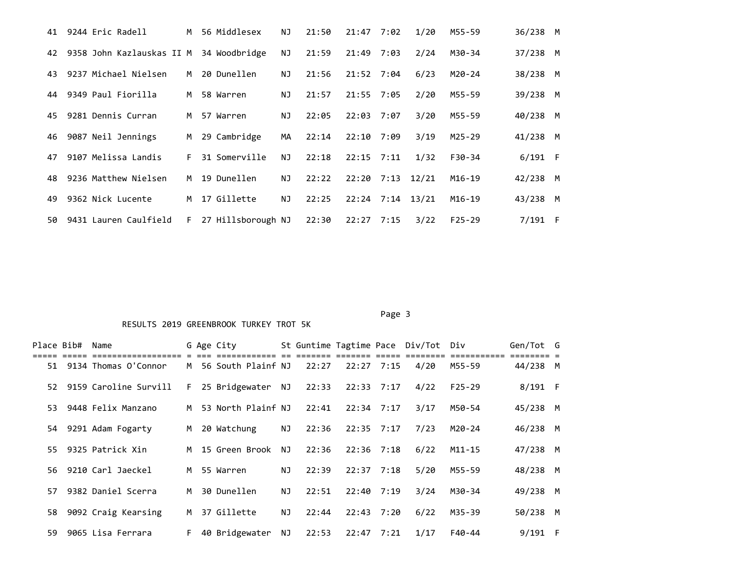| 41 | 9244 Eric Radell          | M  | 56 Middlesex       | ΝJ        | 21:50 | 21:47            | 7:02 | 1/20               | M55-59     | 36/238 M  |   |
|----|---------------------------|----|--------------------|-----------|-------|------------------|------|--------------------|------------|-----------|---|
| 42 | 9358 John Kazlauskas II M |    | 34 Woodbridge      | <b>NJ</b> | 21:59 | 21:49            | 7:03 | 2/24               | M30-34     | 37/238 M  |   |
| 43 | 9237 Michael Nielsen      | M  | 20 Dunellen        | ΝJ        | 21:56 | 21:52 7:04       |      | 6/23               | M20-24     | 38/238 M  |   |
| 44 | 9349 Paul Fiorilla        | M. | 58 Warren          | ΝJ        | 21:57 | 21:55 7:05       |      | 2/20               | M55-59     | 39/238    | M |
| 45 | 9281 Dennis Curran        | M. | 57 Warren          | NJ        | 22:05 | $22:03$ 7:07     |      | 3/20               | M55-59     | 40/238    | M |
| 46 | 9087 Neil Jennings        | M  | 29 Cambridge       | MA        | 22:14 | 22:10            | 7:09 | 3/19               | $M25 - 29$ | 41/238 M  |   |
| 47 | 9107 Melissa Landis       | F. | 31 Somerville      | NJ        | 22:18 | $22:15$ $7:11$   |      | 1/32               | $F30-34$   | $6/191$ F |   |
| 48 | 9236 Matthew Nielsen      | M  | 19 Dunellen        | <b>NJ</b> | 22:22 | 22:20 7:13 12/21 |      |                    | $M16-19$   | 42/238    | M |
| 49 | 9362 Nick Lucente         | M  | 17 Gillette        | <b>NJ</b> | 22:25 |                  |      | $22:24$ 7:14 13/21 | $M16-19$   | 43/238    | M |
| 50 | 9431 Lauren Caulfield     | F. | 27 Hillsborough NJ |           | 22:30 | $22:27$ 7:15     |      | 3/22               | $F25-29$   | $7/191$ F |   |

#### Page 3 and 2012 and 2012 and 2012 and 2012 and 2012 and 2012 and 2012 and 2012 and 2012 and 2012 and 2012 and

| Place Bib# | Name                     |    | G Age City           |    |       |              |                | St Guntime Tagtime Pace Div/Tot Div |          | Gen/Tot G              |   |
|------------|--------------------------|----|----------------------|----|-------|--------------|----------------|-------------------------------------|----------|------------------------|---|
|            | 51 9134 Thomas O'Connor  |    | M 56 South Plainf NJ |    | 22:27 | $22:27$ 7:15 |                | 4/20                                | M55-59   | ======== =<br>44/238 M |   |
|            | 52 9159 Caroline Survill | F. | 25 Bridgewater NJ    |    | 22:33 | 22:33 7:17   |                | 4/22                                | $F25-29$ | $8/191$ F              |   |
|            | 53 9448 Felix Manzano    | M  | 53 North Plainf NJ   |    | 22:41 |              | $22:34$ 7:17   | 3/17                                | M50-54   | 45/238 M               |   |
|            | 54 9291 Adam Fogarty     | M  | 20 Watchung          | NJ | 22:36 | $22:35$ 7:17 |                | 7/23                                | M20-24   | 46/238 M               |   |
|            | 55 9325 Patrick Xin      |    | M 15 Green Brook     | NJ | 22:36 |              | $22:36$ 7:18   | 6/22                                | M11-15   | 47/238 M               |   |
|            | 56 9210 Carl Jaeckel     |    | M 55 Warren          | NJ | 22:39 |              | $22:37$ 7:18   | 5/20                                | M55-59   | 48/238 M               |   |
| 57         | 9382 Daniel Scerra       | M  | 30 Dunellen          | NJ | 22:51 |              | $22:40$ 7:19   | 3/24                                | M30-34   | 49/238 M               |   |
|            | 58 9092 Craig Kearsing   | M  | 37 Gillette          | NJ | 22:44 |              | $22:43$ $7:20$ | 6/22                                | M35-39   | 50/238                 | M |
|            | 59 9065 Lisa Ferrara     | F. | 40 Bridgewater       | NJ | 22:53 |              | $22:47$ $7:21$ | 1/17                                | F40-44   | $9/191$ F              |   |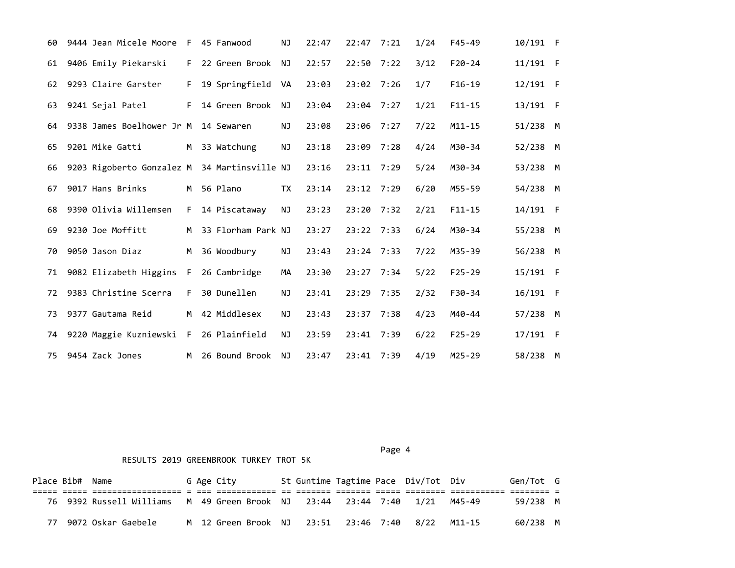| 60 | 9444 Jean Micele Moore                       | F. | 45 Fanwood         | NJ        | 22:47 | 22:47        | 7:21 | 1/24 | $F45 - 49$ | 10/191 F   |  |
|----|----------------------------------------------|----|--------------------|-----------|-------|--------------|------|------|------------|------------|--|
| 61 | 9406 Emily Piekarski                         | F. | 22 Green Brook     | NJ        | 22:57 | $22:50$ 7:22 |      | 3/12 | $F20 - 24$ | 11/191 F   |  |
| 62 | 9293 Claire Garster                          | F. | 19 Springfield     | VA        | 23:03 | 23:02 7:26   |      | 1/7  | $F16-19$   | $12/191$ F |  |
| 63 | 9241 Sejal Patel                             | F. | 14 Green Brook     | NJ        | 23:04 | $23:04$ 7:27 |      | 1/21 | $F11 - 15$ | 13/191 F   |  |
| 64 | 9338 James Boelhower Jr M                    |    | 14 Sewaren         | ΝJ        | 23:08 | 23:06        | 7:27 | 7/22 | $M11 - 15$ | 51/238 M   |  |
| 65 | 9201 Mike Gatti                              | M  | 33 Watchung        | NJ        | 23:18 | 23:09        | 7:28 | 4/24 | M30-34     | 52/238 M   |  |
| 66 | 9203 Rigoberto Gonzalez M 34 Martinsville NJ |    |                    |           | 23:16 | $23:11$ 7:29 |      | 5/24 | M30-34     | 53/238 M   |  |
| 67 | 9017 Hans Brinks                             | M  | 56 Plano           | <b>TX</b> | 23:14 | $23:12$ 7:29 |      | 6/20 | $M55 - 59$ | 54/238 M   |  |
| 68 | 9390 Olivia Willemsen                        | F. | 14 Piscataway      | <b>NJ</b> | 23:23 | $23:20$ 7:32 |      | 2/21 | $F11 - 15$ | 14/191 F   |  |
| 69 | 9230 Joe Moffitt                             | M  | 33 Florham Park NJ |           | 23:27 | 23:22 7:33   |      | 6/24 | M30-34     | 55/238 M   |  |
| 70 | 9050 Jason Diaz                              | M  | 36 Woodbury        | NJ        | 23:43 | 23:24 7:33   |      | 7/22 | M35-39     | 56/238 M   |  |
| 71 | 9082 Elizabeth Higgins                       | F. | 26 Cambridge       | МA        | 23:30 | 23:27 7:34   |      | 5/22 | $F25 - 29$ | 15/191 F   |  |
| 72 | 9383 Christine Scerra                        | F. | 30 Dunellen        | NJ        | 23:41 | 23:29        | 7:35 | 2/32 | $F30-34$   | 16/191 F   |  |
| 73 | 9377 Gautama Reid                            | M  | 42 Middlesex       | NJ.       | 23:43 | 23:37 7:38   |      | 4/23 | M40-44     | 57/238 M   |  |
| 74 | 9220 Maggie Kuzniewski F                     |    | 26 Plainfield      | NJ        | 23:59 | 23:41        | 7:39 | 6/22 | $F25 - 29$ | $17/191$ F |  |
| 75 | 9454 Zack Jones                              | M  | 26 Bound Brook     | NJ.       | 23:47 | 23:41        | 7:39 | 4/19 | $M25 - 29$ | 58/238 M   |  |

Page 4 and the state of the state of the state of the state of the state of the state of the state of the state of the state of the state of the state of the state of the state of the state of the state of the state of the

| Place Bib# Name |                          |  | G Age City |  |                                      |  | St Guntime Tagtime Pace Div/Tot Div |        | Gen/Tot G |  |
|-----------------|--------------------------|--|------------|--|--------------------------------------|--|-------------------------------------|--------|-----------|--|
|                 |                          |  |            |  |                                      |  |                                     |        |           |  |
|                 | 76 9392 Russell Williams |  |            |  | M 49 Green Brook NJ 23:44 23:44 7:40 |  | 1/21                                | M45-49 | 59/238 M  |  |
|                 | 9072 Oskar Gaebele       |  |            |  | M 12 Green Brook NJ 23:51 23:46 7:40 |  | 8/22                                | M11-15 | 60/238 M  |  |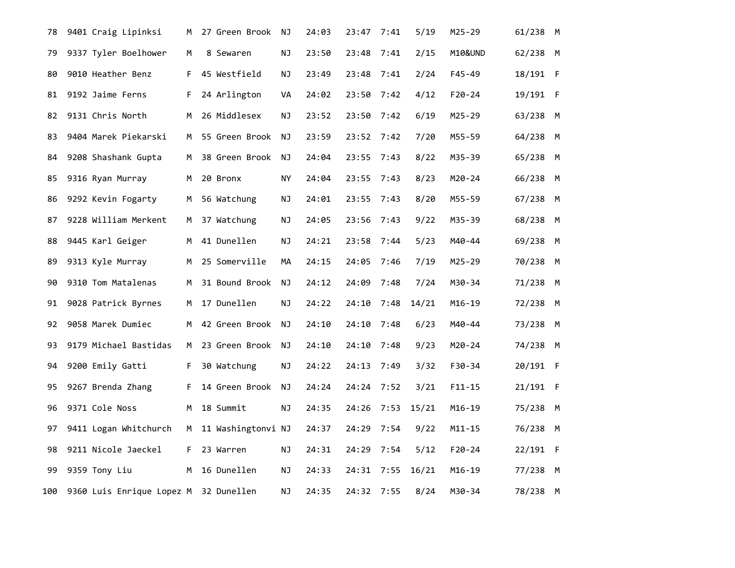| 78  | 9401 Craig Lipinksi                   | M   | 27 Green Brook     | ΝJ  | 24:03 | 23:47      | 7:41 | 5/19  | M25-29     | 61/238 M |  |
|-----|---------------------------------------|-----|--------------------|-----|-------|------------|------|-------|------------|----------|--|
| 79  | 9337 Tyler Boelhower                  | М   | 8 Sewaren          | ΝJ  | 23:50 | 23:48      | 7:41 | 2/15  | M10&UND    | 62/238 M |  |
| 80  | 9010 Heather Benz                     | F.  | 45 Westfield       | ΝJ  | 23:49 | 23:48 7:41 |      | 2/24  | F45-49     | 18/191 F |  |
| 81  | 9192 Jaime Ferns                      | F.  | 24 Arlington       | VA  | 24:02 | 23:50      | 7:42 | 4/12  | $F20 - 24$ | 19/191 F |  |
| 82  | 9131 Chris North                      | M   | 26 Middlesex       | ΝJ  | 23:52 | 23:50      | 7:42 | 6/19  | M25-29     | 63/238 M |  |
| 83  | 9404 Marek Piekarski                  | M   | 55 Green Brook     | NJ. | 23:59 | 23:52 7:42 |      | 7/20  | M55-59     | 64/238 M |  |
| 84  | 9208 Shashank Gupta                   | M . | 38 Green Brook     | NJ. | 24:04 | 23:55      | 7:43 | 8/22  | M35-39     | 65/238 M |  |
| 85  | 9316 Ryan Murray                      | M   | 20 Bronx           | ΝY  | 24:04 | 23:55      | 7:43 | 8/23  | M20-24     | 66/238 M |  |
| 86  | 9292 Kevin Fogarty                    | M   | 56 Watchung        | ΝJ  | 24:01 | 23:55 7:43 |      | 8/20  | M55-59     | 67/238 M |  |
| 87  | 9228 William Merkent                  | M   | 37 Watchung        | ΝJ  | 24:05 | 23:56      | 7:43 | 9/22  | M35-39     | 68/238 M |  |
| 88  | 9445 Karl Geiger                      | м   | 41 Dunellen        | ΝJ  | 24:21 | 23:58      | 7:44 | 5/23  | M40-44     | 69/238 M |  |
| 89  | 9313 Kyle Murray                      | M   | 25 Somerville      | МA  | 24:15 | 24:05 7:46 |      | 7/19  | M25-29     | 70/238 M |  |
| 90  | 9310 Tom Matalenas                    | M   | 31 Bound Brook     | NJ  | 24:12 | 24:09      | 7:48 | 7/24  | M30-34     | 71/238 M |  |
| 91  | 9028 Patrick Byrnes                   | M   | 17 Dunellen        | ΝJ  | 24:22 | 24:10      | 7:48 | 14/21 | $M16 - 19$ | 72/238 M |  |
| 92  | 9058 Marek Dumiec                     | M   | 42 Green Brook     | ΝJ  | 24:10 | 24:10      | 7:48 | 6/23  | M40-44     | 73/238 M |  |
| 93  | 9179 Michael Bastidas                 | M   | 23 Green Brook     | ΝJ  | 24:10 | 24:10      | 7:48 | 9/23  | M20-24     | 74/238 M |  |
| 94  | 9200 Emily Gatti                      | F.  | 30 Watchung        | ΝJ  | 24:22 | 24:13      | 7:49 | 3/32  | F30-34     | 20/191 F |  |
| 95  | 9267 Brenda Zhang                     | F.  | 14 Green Brook     | NJ  | 24:24 | 24:24 7:52 |      | 3/21  | $F11 - 15$ | 21/191 F |  |
| 96  | 9371 Cole Noss                        | M   | 18 Summit          | ΝJ  | 24:35 | 24:26      | 7:53 | 15/21 | $M16 - 19$ | 75/238 M |  |
| 97  | 9411 Logan Whitchurch                 | M   | 11 Washingtonvi NJ |     | 24:37 | 24:29      | 7:54 | 9/22  | $M11 - 15$ | 76/238 M |  |
| 98  | 9211 Nicole Jaeckel                   | F.  | 23 Warren          | ΝJ  | 24:31 | 24:29 7:54 |      | 5/12  | $F20 - 24$ | 22/191 F |  |
| 99  | 9359 Tony Liu                         | M   | 16 Dunellen        | ΝJ  | 24:33 | 24:31      | 7:55 | 16/21 | $M16 - 19$ | 77/238 M |  |
| 100 | 9360 Luis Enrique Lopez M 32 Dunellen |     |                    | ΝJ  | 24:35 | 24:32 7:55 |      | 8/24  | M30-34     | 78/238 M |  |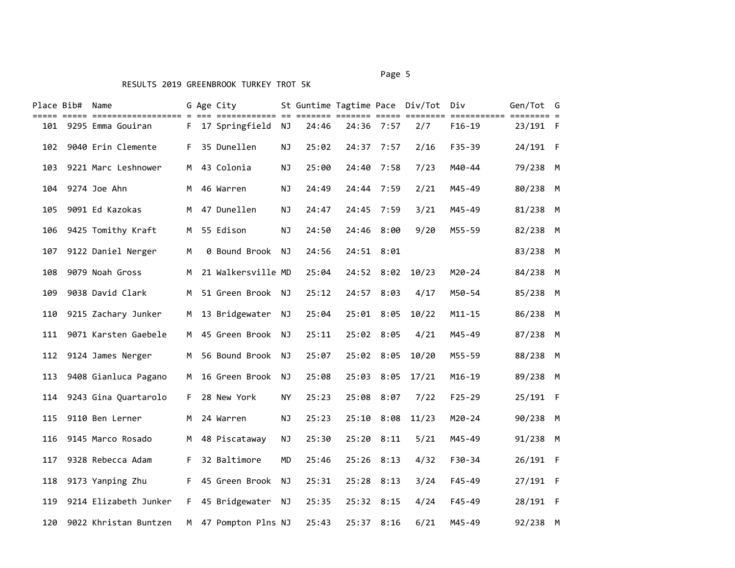# Place Bib# Name G Age City St Guntime Tagtime Pace Div/Tot Div Gen/Tot G ===== ===== ================== = === ============ == ======= ======= ===== ======== =========== ======== = 101 9295 Emma Gouiran F 17 Springfield NJ 24:46 24:36 7:57 2/7 F16-19 23/191 F 102 9040 Erin Clemente F 35 Dunellen NJ 25:02 24:37 7:57 2/16 F35-39 24/191 F 103 9221 Marc Leshnower M 43 Colonia NJ 25:00 24:40 7:58 7/23 M40-44 79/238 M 104 9274 Joe Ahn M 46 Warren NJ 24:49 24:44 7:59 2/21 M45-49 80/238 M 105 9091 Ed Kazokas M 47 Dunellen NJ 24:47 24:45 7:59 3/21 M45-49 81/238 M 106 9425 Tomithy Kraft M 55 Edison NJ 24:50 24:46 8:00 9/20 M55-59 82/238 M 107 9122 Daniel Nerger M 0 Bound Brook NJ 24:56 24:51 8:01 83/238 M 108 9079 Noah Gross M 21 Walkersville MD 25:04 24:52 8:02 10/23 M20-24 84/238 M 109 9038 David Clark M 51 Green Brook NJ 25:12 24:57 8:03 4/17 M50-54 85/238 M 110 9215 Zachary Junker M 13 Bridgewater NJ 25:04 25:01 8:05 10/22 M11-15 86/238 M 111 9071 Karsten Gaebele M 45 Green Brook NJ 25:11 25:02 8:05 4/21 M45-49 87/238 M 112 9124 James Nerger M 56 Bound Brook NJ 25:07 25:02 8:05 10/20 M55-59 88/238 M 113 9408 Gianluca Pagano M 16 Green Brook NJ 25:08 25:03 8:05 17/21 M16-19 89/238 M 114 9243 Gina Quartarolo F 28 New York NY 25:23 25:08 8:07 7/22 F25-29 25/191 F 115 9110 Ben Lerner M 24 Warren NJ 25:23 25:10 8:08 11/23 M20-24 90/238 M 116 9145 Marco Rosado M 48 Piscataway NJ 25:30 25:20 8:11 5/21 M45-49 91/238 M 117 9328 Rebecca Adam F 32 Baltimore MD 25:46 25:26 8:13 4/32 F30-34 26/191 F 118 9173 Yanping Zhu F 45 Green Brook NJ 25:31 25:28 8:13 3/24 F45-49 27/191 F 119 9214 Elizabeth Junker F 45 Bridgewater NJ 25:35 25:32 8:15 4/24 F45-49 28/191 F 120 9022 Khristan Buntzen M 47 Pompton Plns NJ 25:43 25:37 8:16 6/21 M45-49 92/238 M

#### Page 5 and 2012 and 2012 and 2012 and 2012 and 2012 and 2012 and 2012 and 2012 and 2012 and 2012 and 2012 and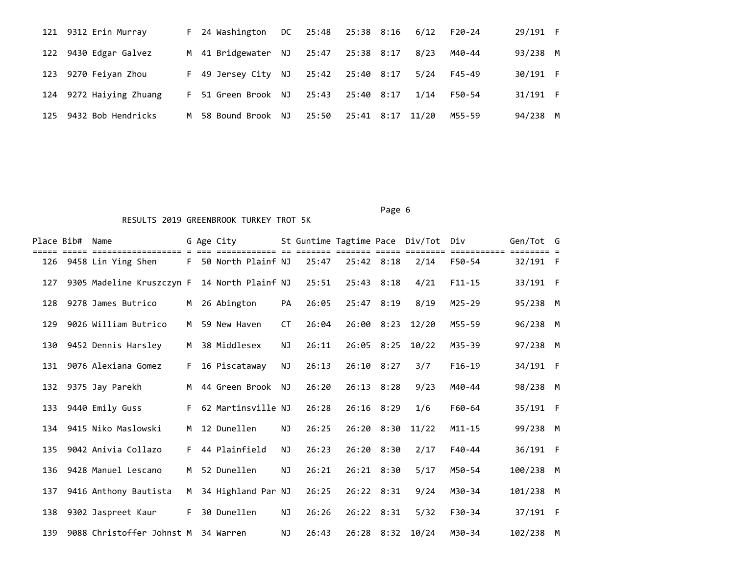|     | 121 9312 Erin Murray    | F 24 Washington     | DC - | 25:48 25:38 8:16 6/12 |                  |      | F20-24 | 29/191 F |          |
|-----|-------------------------|---------------------|------|-----------------------|------------------|------|--------|----------|----------|
|     | 122 9430 Edgar Galvez   | M 41 Bridgewater NJ |      | 25:47                 | 25:38 8:17       | 8/23 | M40-44 | 93/238 M |          |
|     | 123 9270 Feiyan Zhou    | F 49 Jersey City NJ |      | 25:42 25:40 8:17      |                  | 5/24 | F45-49 | 30/191 F |          |
|     | 124 9272 Haiying Zhuang | F 51 Green Brook NJ |      | 25:43                 | 25:40 8:17       | 1/14 | F50-54 | 31/191 F |          |
| 125 | 9432 Bob Hendricks      | M 58 Bound Brook NJ |      | 25:50                 | 25:41 8:17 11/20 |      | M55-59 | 94/238   | <b>M</b> |

| Place Bib# | Name<br>================  |    | G Age City<br>========== |           |       |                |                | St Guntime Tagtime Pace Div/Tot Div | =======    | Gen/Tot G |  |
|------------|---------------------------|----|--------------------------|-----------|-------|----------------|----------------|-------------------------------------|------------|-----------|--|
| 126        | 9458 Lin Ying Shen        | F. | 50 North Plainf NJ       |           | 25:47 | $25:42$ 8:18   |                | 2/14                                | F50-54     | 32/191 F  |  |
| 127        | 9305 Madeline Kruszczyn F |    | 14 North Plainf NJ       |           | 25:51 | 25:43 8:18     |                | 4/21                                | $F11 - 15$ | 33/191 F  |  |
| 128        | 9278 James Butrico        | M  | 26 Abington              | PA        | 26:05 | 25:47 8:19     |                | 8/19                                | $M25 - 29$ | 95/238 M  |  |
| 129        | 9026 William Butrico      | M  | 59 New Haven             | СT        | 26:04 |                | $26:00$ $8:23$ | 12/20                               | M55-59     | 96/238 M  |  |
| 130        | 9452 Dennis Harsley       | M  | 38 Middlesex             | NJ        | 26:11 |                | $26:05$ 8:25   | 10/22                               | M35-39     | 97/238 M  |  |
| 131        | 9076 Alexiana Gomez       | F. | 16 Piscataway            | <b>NJ</b> | 26:13 | 26:10 8:27     |                | 3/7                                 | $F16-19$   | 34/191 F  |  |
| 132        | 9375 Jay Parekh           | M  | 44 Green Brook           | NJ        | 26:20 | $26:13$ $8:28$ |                | 9/23                                | M40-44     | 98/238 M  |  |
| 133        | 9440 Emily Guss           | F. | 62 Martinsville NJ       |           | 26:28 | $26:16$ 8:29   |                | 1/6                                 | F60-64     | 35/191 F  |  |
| 134        | 9415 Niko Maslowski       | M  | 12 Dunellen              | <b>NJ</b> | 26:25 |                | $26:20$ $8:30$ | 11/22                               | $M11 - 15$ | 99/238 M  |  |
| 135        | 9042 Anivia Collazo       | F. | 44 Plainfield            | <b>NJ</b> | 26:23 | 26:20 8:30     |                | 2/17                                | $F40 - 44$ | 36/191 F  |  |
| 136        | 9428 Manuel Lescano       | M  | 52 Dunellen              | NJ        | 26:21 | $26:21$ $8:30$ |                | 5/17                                | M50-54     | 100/238 M |  |
| 137        | 9416 Anthony Bautista     | M  | 34 Highland Par NJ       |           | 26:25 | 26:22 8:31     |                | 9/24                                | M30-34     | 101/238 M |  |
| 138        | 9302 Jaspreet Kaur        | F. | 30 Dunellen              | ΝJ        | 26:26 | 26:22 8:31     |                | 5/32                                | F30-34     | 37/191 F  |  |
| 139        | 9088 Christoffer Johnst M |    | 34 Warren                | <b>NJ</b> | 26:43 |                | $26:28$ $8:32$ | 10/24                               | M30-34     | 102/238 M |  |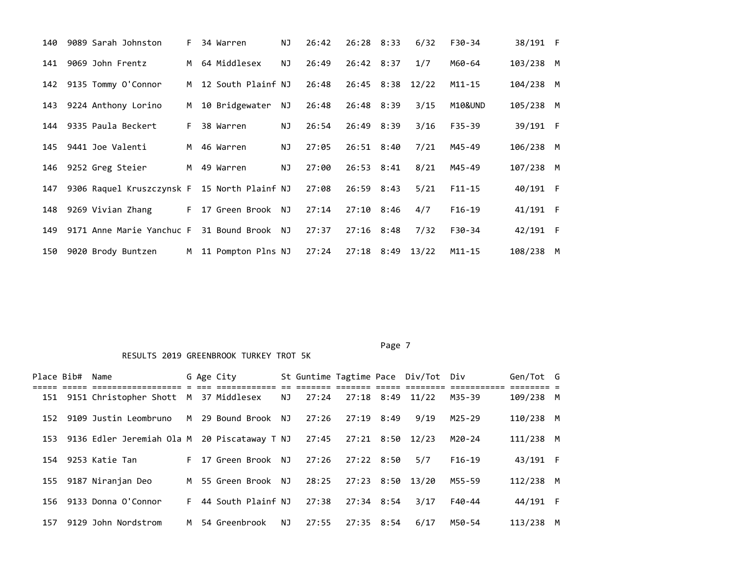| 140 |                        | 9089 Sarah Johnston       | F. | 34 Warren            | NJ        | 26:42 | $26:28$ 8:33     | 6/32  | F30-34     | 38/191 F  |  |
|-----|------------------------|---------------------------|----|----------------------|-----------|-------|------------------|-------|------------|-----------|--|
| 141 | 9069 John Frentz       |                           |    | M 64 Middlesex       | <b>NJ</b> | 26:49 | 26:42 8:37       | 1/7   | M60-64     | 103/238 M |  |
|     |                        | 142 9135 Tommy O'Connor   |    | M 12 South Plainf NJ |           | 26:48 | 26:45 8:38       | 12/22 | $M11 - 15$ | 104/238 M |  |
| 143 |                        | 9224 Anthony Lorino       | M  | 10 Bridgewater       | NJ        | 26:48 | 26:48 8:39       | 3/15  | M10&UND    | 105/238 M |  |
|     | 144 9335 Paula Beckert |                           | F. | 38 Warren            | NJ        | 26:54 | 26:49 8:39       | 3/16  | $F35 - 39$ | 39/191 F  |  |
|     | 145 9441 Joe Valenti   |                           |    | M 46 Warren          | NJ        | 27:05 | $26:51$ $8:40$   | 7/21  | M45-49     | 106/238 M |  |
|     | 146 9252 Greg Steier   |                           |    | M 49 Warren          | NJ        | 27:00 | 26:53 8:41       | 8/21  | M45-49     | 107/238 M |  |
| 147 |                        | 9306 Raquel Kruszczynsk F |    | 15 North Plainf NJ   |           | 27:08 | 26:59 8:43       | 5/21  | $F11 - 15$ | 40/191 F  |  |
| 148 | 9269 Vivian Zhang      |                           | F. | 17 Green Brook NJ    |           | 27:14 | $27:10$ 8:46     | 4/7   | $F16-19$   | 41/191 F  |  |
| 149 |                        | 9171 Anne Marie Yanchuc F |    | 31 Bound Brook NJ    |           | 27:37 | $27:16$ 8:48     | 7/32  | F30-34     | 42/191 F  |  |
| 150 | 9020 Brody Buntzen     |                           | M  | 11 Pompton Plns NJ   |           | 27:24 | 27:18 8:49 13/22 |       | M11-15     | 108/238 M |  |

| Place Bib# | Name                                                   |    | G Age City          |    |       |            | St Guntime Tagtime Pace Div/Tot Div |          | Gen/Tot G |   |
|------------|--------------------------------------------------------|----|---------------------|----|-------|------------|-------------------------------------|----------|-----------|---|
| 151        | 9151 Christopher Shott M 37 Middlesex                  |    |                     | NJ | 27:24 |            | 27:18 8:49 11/22                    | M35-39   | 109/238 M |   |
| 152        | 9109 Justin Leombruno                                  |    | M 29 Bound Brook NJ |    | 27:26 | 27:19 8:49 | 9/19                                | M25-29   | 110/238 M |   |
|            | 153 9136 Edler Jeremiah Ola M 20 Piscataway T NJ 27:45 |    |                     |    |       |            | 27:21 8:50 12/23                    | M20-24   | 111/238 M |   |
|            | 154 9253 Katie Tan                                     |    | F 17 Green Brook NJ |    | 27:26 | 27:22 8:50 | 5/7                                 | $F16-19$ | 43/191 F  |   |
| 155        | 9187 Niranjan Deo                                      |    | M 55 Green Brook NJ |    | 28:25 |            | 27:23 8:50 13/20                    | M55-59   | 112/238 M |   |
|            | 156 9133 Donna O'Connor                                | F. | 44 South Plainf NJ  |    | 27:38 | 27:34 8:54 | 3/17                                | F40-44   | 44/191 F  |   |
| 157        | 9129 John Nordstrom                                    |    | M 54 Greenbrook     | NJ | 27:55 | 27:35 8:54 | 6/17                                | M50-54   | 113/238   | M |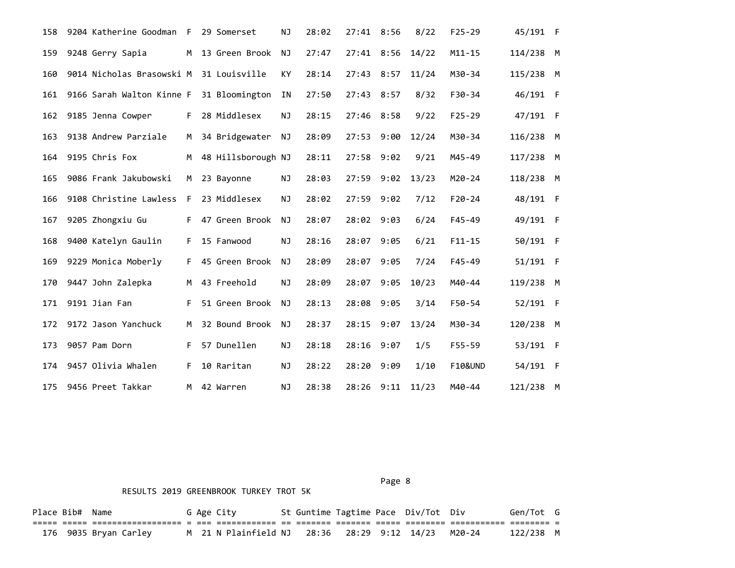| 158 | 9204 Katherine Goodman                  | F  | 29 Somerset        | ΝJ        | 28:02 | 27:41      | 8:56 | 8/22  | $F25 - 29$         | 45/191 F   |  |
|-----|-----------------------------------------|----|--------------------|-----------|-------|------------|------|-------|--------------------|------------|--|
| 159 | 9248 Gerry Sapia                        | M  | 13 Green Brook     | NJ        | 27:47 | 27:41 8:56 |      | 14/22 | $M11 - 15$         | 114/238 M  |  |
| 160 | 9014 Nicholas Brasowski M 31 Louisville |    |                    | KY        | 28:14 | 27:43 8:57 |      | 11/24 | M30-34             | 115/238 M  |  |
| 161 | 9166 Sarah Walton Kinne F               |    | 31 Bloomington     | ΙN        | 27:50 | 27:43 8:57 |      | 8/32  | $F30-34$           | 46/191 F   |  |
| 162 | 9185 Jenna Cowper                       | F. | 28 Middlesex       | ΝJ        | 28:15 | 27:46      | 8:58 | 9/22  | $F25 - 29$         | 47/191 F   |  |
| 163 | 9138 Andrew Parziale                    | M  | 34 Bridgewater     | <b>NJ</b> | 28:09 | 27:53      | 9:00 | 12/24 | M30-34             | 116/238 M  |  |
| 164 | 9195 Chris Fox                          | M  | 48 Hillsborough NJ |           | 28:11 | 27:58      | 9:02 | 9/21  | M45-49             | 117/238 M  |  |
| 165 | 9086 Frank Jakubowski                   | M  | 23 Bayonne         | NJ        | 28:03 | 27:59      | 9:02 | 13/23 | M20-24             | 118/238 M  |  |
| 166 | 9108 Christine Lawless                  | F  | 23 Middlesex       | ΝJ        | 28:02 | 27:59      | 9:02 | 7/12  | $F20 - 24$         | 48/191 F   |  |
| 167 | 9205 Zhongxiu Gu                        | F. | 47 Green Brook     | ΝJ        | 28:07 | 28:02      | 9:03 | 6/24  | $F45 - 49$         | 49/191 F   |  |
| 168 | 9400 Katelyn Gaulin                     | F. | 15 Fanwood         | NJ.       | 28:16 | 28:07      | 9:05 | 6/21  | $F11 - 15$         | 50/191 F   |  |
| 169 | 9229 Monica Moberly                     | F. | 45 Green Brook     | NJ        | 28:09 | 28:07      | 9:05 | 7/24  | $F45 - 49$         | 51/191 F   |  |
| 170 | 9447 John Zalepka                       | M  | 43 Freehold        | <b>NJ</b> | 28:09 | 28:07      | 9:05 | 10/23 | M40-44             | 119/238 M  |  |
| 171 | 9191 Jian Fan                           | F. | 51 Green Brook     | NJ        | 28:13 | 28:08      | 9:05 | 3/14  | F50-54             | $52/191$ F |  |
| 172 | 9172 Jason Yanchuck                     | M  | 32 Bound Brook     | <b>NJ</b> | 28:37 | 28:15      | 9:07 | 13/24 | M30-34             | 120/238 M  |  |
| 173 | 9057 Pam Dorn                           | F. | 57 Dunellen        | NJ        | 28:18 | 28:16      | 9:07 | 1/5   | $F55 - 59$         | 53/191 F   |  |
| 174 | 9457 Olivia Whalen                      | F. | 10 Raritan         | <b>NJ</b> | 28:22 | 28:20      | 9:09 | 1/10  | <b>F10&amp;UND</b> | 54/191 F   |  |
| 175 | 9456 Preet Takkar                       | M  | 42 Warren          | NJ        | 28:38 | 28:26      | 9:11 | 11/23 | M40-44             | 121/238 M  |  |

Page 8 and 2012 and 2012 and 2012 and 2012 and 2012 and 2012 and 2012 and 2012 and 2012 and 2012 and 2012 and

#### RESULTS 2019 GREENBROOK TURKEY TROT 5K

Place Bib# Name G Age City St Guntime Tagtime Pace Div/Tot Div Gen/Tot G ===== ===== ================== = === ============ == ======= ======= ===== ======== =========== ======== = 176 9035 Bryan Carley M 21 N Plainfield NJ 28:36 28:29 9:12 14/23 M20-24 122/238 M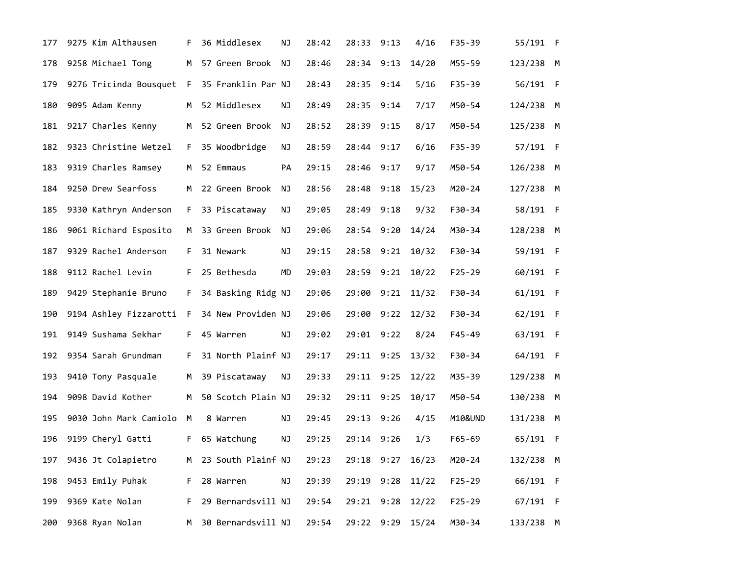| 177 | 9275 Kim Althausen       | F              | 36 Middlesex       | ΝJ | 28:42 | 28:33 9:13 |      | 4/16           | F35-39     | 55/191 F  |  |
|-----|--------------------------|----------------|--------------------|----|-------|------------|------|----------------|------------|-----------|--|
| 178 | 9258 Michael Tong        | M <sub>1</sub> | 57 Green Brook     | ΝJ | 28:46 | 28:34      | 9:13 | 14/20          | M55-59     | 123/238 M |  |
| 179 | 9276 Tricinda Bousquet F |                | 35 Franklin Par NJ |    | 28:43 | 28:35      | 9:14 | 5/16           | F35-39     | 56/191 F  |  |
| 180 | 9095 Adam Kenny          | M              | 52 Middlesex       | ΝJ | 28:49 | 28:35      | 9:14 | 7/17           | M50-54     | 124/238 M |  |
| 181 | 9217 Charles Kenny       | M              | 52 Green Brook     | ΝJ | 28:52 | 28:39      | 9:15 | 8/17           | M50-54     | 125/238 M |  |
| 182 | 9323 Christine Wetzel    | F.             | 35 Woodbridge      | ΝJ | 28:59 | 28:44 9:17 |      | 6/16           | F35-39     | 57/191 F  |  |
| 183 | 9319 Charles Ramsey      | M              | 52 Emmaus          | PA | 29:15 | 28:46 9:17 |      | 9/17           | M50-54     | 126/238 M |  |
| 184 | 9250 Drew Searfoss       | M              | 22 Green Brook     | ΝJ | 28:56 | 28:48 9:18 |      | 15/23          | M20-24     | 127/238 M |  |
| 185 | 9330 Kathryn Anderson    | F.             | 33 Piscataway      | ΝJ | 29:05 | 28:49      | 9:18 | 9/32           | F30-34     | 58/191 F  |  |
| 186 | 9061 Richard Esposito    | M .            | 33 Green Brook     | ΝJ | 29:06 | 28:54 9:20 |      | 14/24          | M30-34     | 128/238 M |  |
| 187 | 9329 Rachel Anderson     | F.             | 31 Newark          | NJ | 29:15 | 28:58      | 9:21 | 10/32          | F30-34     | 59/191 F  |  |
| 188 | 9112 Rachel Levin        | F.             | 25 Bethesda        | MD | 29:03 | 28:59      | 9:21 | 10/22          | $F25 - 29$ | 60/191 F  |  |
| 189 | 9429 Stephanie Bruno     | F.             | 34 Basking Ridg NJ |    | 29:06 | 29:00      | 9:21 | 11/32          | F30-34     | 61/191 F  |  |
| 190 | 9194 Ashley Fizzarotti F |                | 34 New Providen NJ |    | 29:06 | 29:00      |      | $9:22$ $12/32$ | F30-34     | 62/191 F  |  |
| 191 | 9149 Sushama Sekhar      | F.             | 45 Warren          | NJ | 29:02 | 29:01 9:22 |      | 8/24           | F45-49     | 63/191 F  |  |
| 192 | 9354 Sarah Grundman      | F.             | 31 North Plainf NJ |    | 29:17 | 29:11 9:25 |      | 13/32          | F30-34     | 64/191 F  |  |
| 193 | 9410 Tony Pasquale       | M              | 39 Piscataway      | NJ | 29:33 | 29:11 9:25 |      | 12/22          | M35-39     | 129/238 M |  |
| 194 | 9098 David Kother        | M              | 50 Scotch Plain NJ |    | 29:32 | 29:11 9:25 |      | 10/17          | M50-54     | 130/238 M |  |
| 195 | 9030 John Mark Camiolo   | M              | 8 Warren           | NJ | 29:45 | 29:13 9:26 |      | 4/15           | M10&UND    | 131/238 M |  |
| 196 | 9199 Cheryl Gatti        | F.             | 65 Watchung        | NJ | 29:25 | 29:14 9:26 |      | 1/3            | F65-69     | 65/191 F  |  |
| 197 | 9436 Jt Colapietro       | M              | 23 South Plainf NJ |    | 29:23 | 29:18 9:27 |      | 16/23          | M20-24     | 132/238 M |  |
| 198 | 9453 Emily Puhak         | F.             | 28 Warren          | ΝJ | 29:39 | 29:19 9:28 |      | 11/22          | $F25 - 29$ | 66/191 F  |  |
| 199 | 9369 Kate Nolan          | F.             | 29 Bernardsvill NJ |    | 29:54 | 29:21 9:28 |      | 12/22          | $F25 - 29$ | 67/191 F  |  |
| 200 | 9368 Ryan Nolan          | M .            | 30 Bernardsvill NJ |    | 29:54 | 29:22 9:29 |      | 15/24          | M30-34     | 133/238 M |  |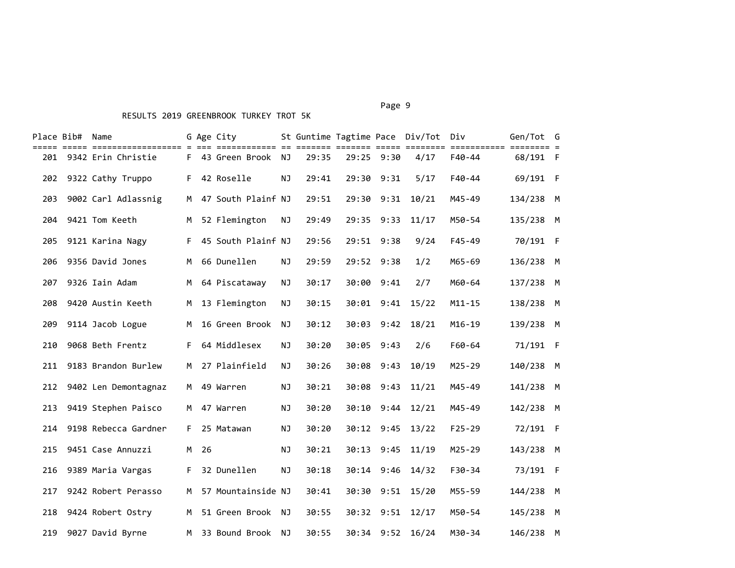#### Page 9 - Page 9 - Page 9 - Page 9 - Page 9 - Page 9 - Page 9 - Page 9 - Page 9 - Page 9 - Page 9

|     | Place Bib# Name |                        |                |      | G Age City           |           |       |       |            | St Guntime Tagtime Pace Div/Tot Div |            | Gen/Tot G |  |
|-----|-----------------|------------------------|----------------|------|----------------------|-----------|-------|-------|------------|-------------------------------------|------------|-----------|--|
|     |                 | 201 9342 Erin Christie |                |      | F 43 Green Brook NJ  |           | 29:35 |       | 29:25 9:30 | 4/17                                | F40-44     | 68/191 F  |  |
| 202 |                 | 9322 Cathy Truppo      |                |      | F 42 Roselle         | <b>NJ</b> | 29:41 | 29:30 | 9:31       | 5/17                                | F40-44     | 69/191 F  |  |
| 203 |                 | 9002 Carl Adlassnig    |                |      | M 47 South Plainf NJ |           | 29:51 |       | 29:30 9:31 | 10/21                               | M45-49     | 134/238 M |  |
| 204 |                 | 9421 Tom Keeth         | M <sub>1</sub> |      | 52 Flemington        | <b>NJ</b> | 29:49 |       | 29:35 9:33 | 11/17                               | M50-54     | 135/238 M |  |
| 205 |                 | 9121 Karina Nagy       | F.             |      | 45 South Plainf NJ   |           | 29:56 |       | 29:51 9:38 | 9/24                                | F45-49     | 70/191 F  |  |
| 206 |                 | 9356 David Jones       | M              |      | 66 Dunellen          | NJ        | 29:59 |       | 29:52 9:38 | 1/2                                 | M65-69     | 136/238 M |  |
| 207 |                 | 9326 Iain Adam         | M              |      | 64 Piscataway        | <b>NJ</b> | 30:17 |       | 30:00 9:41 | 2/7                                 | M60-64     | 137/238 M |  |
| 208 |                 | 9420 Austin Keeth      | M              |      | 13 Flemington        | NJ        | 30:15 |       |            | 30:01 9:41 15/22                    | $M11 - 15$ | 138/238 M |  |
| 209 |                 | 9114 Jacob Logue       | M              |      | 16 Green Brook       | <b>NJ</b> | 30:12 |       |            | 30:03 9:42 18/21                    | $M16 - 19$ | 139/238 M |  |
| 210 |                 | 9068 Beth Frentz       | F.             |      | 64 Middlesex         | <b>NJ</b> | 30:20 |       | 30:05 9:43 | 2/6                                 | F60-64     | 71/191 F  |  |
| 211 |                 | 9183 Brandon Burlew    | M              |      | 27 Plainfield        | <b>NJ</b> | 30:26 |       | 30:08 9:43 | 10/19                               | M25-29     | 140/238 M |  |
| 212 |                 | 9402 Len Demontagnaz   | M              |      | 49 Warren            | <b>NJ</b> | 30:21 |       | 30:08 9:43 | 11/21                               | M45-49     | 141/238 M |  |
| 213 |                 | 9419 Stephen Paisco    | M              |      | 47 Warren            | <b>NJ</b> | 30:20 |       | 30:10 9:44 | 12/21                               | M45-49     | 142/238 M |  |
| 214 |                 | 9198 Rebecca Gardner   | F.             |      | 25 Matawan           | NJ        | 30:20 |       | 30:12 9:45 | 13/22                               | $F25 - 29$ | 72/191 F  |  |
| 215 |                 | 9451 Case Annuzzi      |                | M 26 |                      | <b>NJ</b> | 30:21 |       | 30:13 9:45 | 11/19                               | $M25 - 29$ | 143/238 M |  |
| 216 |                 | 9389 Maria Vargas      | F.             |      | 32 Dunellen          | <b>NJ</b> | 30:18 |       | 30:14 9:46 | 14/32                               | $F30-34$   | 73/191 F  |  |
| 217 |                 | 9242 Robert Perasso    | M              |      | 57 Mountainside NJ   |           | 30:41 | 30:30 | 9:51       | 15/20                               | M55-59     | 144/238 M |  |
| 218 |                 | 9424 Robert Ostry      | M              |      | 51 Green Brook NJ    |           | 30:55 |       |            | 30:32 9:51 12/17                    | M50-54     | 145/238 M |  |
|     |                 | 219 9027 David Byrne   |                |      | M 33 Bound Brook     | NJ        | 30:55 |       |            | 30:34 9:52 16/24                    | M30-34     | 146/238 M |  |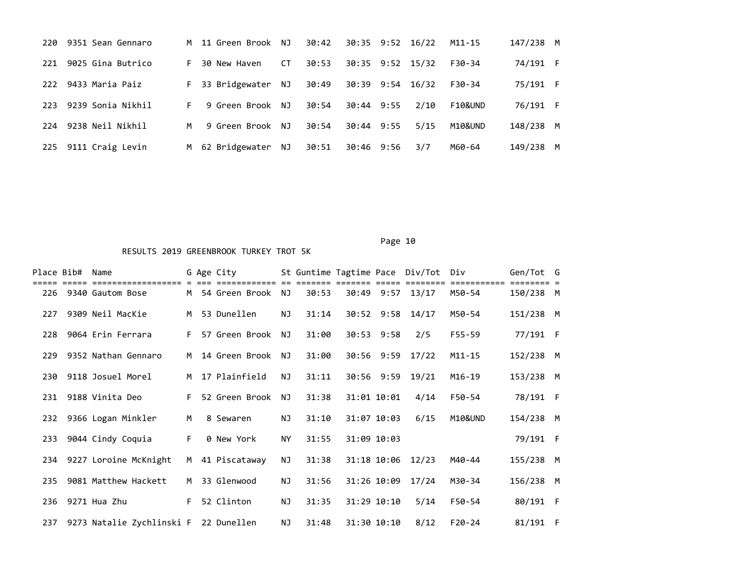| 220 | 9351 Sean Gennaro   |    | M 11 Green Brook NJ |           | 30:42 |            | 30:35 9:52 16/22 | M11-15  | 147/238 M |   |
|-----|---------------------|----|---------------------|-----------|-------|------------|------------------|---------|-----------|---|
| 221 | 9025 Gina Butrico   | F. | 30 New Haven        | <b>CT</b> | 30:53 |            | 30:35 9:52 15/32 | F30-34  | 74/191 F  |   |
|     | 222 9433 Maria Paiz | F. | 33 Bridgewater NJ   |           | 30:49 |            | 30:39 9:54 16/32 | F30-34  | 75/191 F  |   |
| 223 | 9239 Sonia Nikhil   | F. | 9 Green Brook NJ    |           | 30:54 | 30:44 9:55 | 2/10             | F10&UND | 76/191 F  |   |
| 224 | 9238 Neil Nikhil    | M  | 9 Green Brook NJ    |           | 30:54 | 30:44 9:55 | 5/15             | M10&UND | 148/238 M |   |
| 225 | 9111 Craig Levin    |    | M 62 Bridgewater NJ |           | 30:51 | 30:46 9:56 | 3/7              | M60-64  | 149/238   | M |

| Place Bib# | Name                                      |    | G Age City        |           |       |             |             | St Guntime Tagtime Pace Div/Tot Div |            | Gen/Tot G |  |
|------------|-------------------------------------------|----|-------------------|-----------|-------|-------------|-------------|-------------------------------------|------------|-----------|--|
|            | -------------<br>226 9340 Gautom Bose     |    | M 54 Green Brook  | NJ        | 30:53 |             |             | 30:49 9:57 13/17                    | M50-54     | 150/238 M |  |
| 227        | 9309 Neil MacKie                          |    | M 53 Dunellen     | NJ        | 31:14 |             |             | 30:52 9:58 14/17                    | M50-54     | 151/238 M |  |
| 228        | 9064 Erin Ferrara                         | F. | 57 Green Brook    | NJ        | 31:00 |             | 30:53 9:58  | 2/5                                 | F55-59     | 77/191 F  |  |
| 229        | 9352 Nathan Gennaro                       | M  | 14 Green Brook NJ |           | 31:00 |             |             | 30:56 9:59 17/22                    | $M11 - 15$ | 152/238 M |  |
| 230        | 9118 Josuel Morel                         | M  | 17 Plainfield     | NJ        | 31:11 |             |             | 30:56 9:59 19/21                    | $M16 - 19$ | 153/238 M |  |
| 231        | 9188 Vinita Deo                           | F. | 52 Green Brook    | NJ        | 31:38 |             | 31:01 10:01 | 4/14                                | F50-54     | 78/191 F  |  |
|            | 232 9366 Logan Minkler                    | M  | 8 Sewaren         | NJ        | 31:10 |             | 31:07 10:03 | 6/15                                | M10&UND    | 154/238 M |  |
| 233        | 9044 Cindy Coquia                         | F. | 0 New York        | <b>NY</b> | 31:55 | 31:09 10:03 |             |                                     |            | 79/191 F  |  |
|            | 234 9227 Loroine McKnight                 | M  | 41 Piscataway     | <b>NJ</b> | 31:38 |             |             | 31:18 10:06 12/23                   | M40-44     | 155/238 M |  |
| 235        | 9081 Matthew Hackett                      | M  | 33 Glenwood       | NJ        | 31:56 |             | 31:26 10:09 | 17/24                               | M30-34     | 156/238 M |  |
| 236        | 9271 Hua Zhu                              | F. | 52 Clinton        | NJ        | 31:35 |             | 31:29 10:10 | 5/14                                | F50-54     | 80/191 F  |  |
|            | 237 9273 Natalie Zychlinski F 22 Dunellen |    |                   | NJ        | 31:48 |             | 31:30 10:10 | 8/12                                | $F20-24$   | 81/191 F  |  |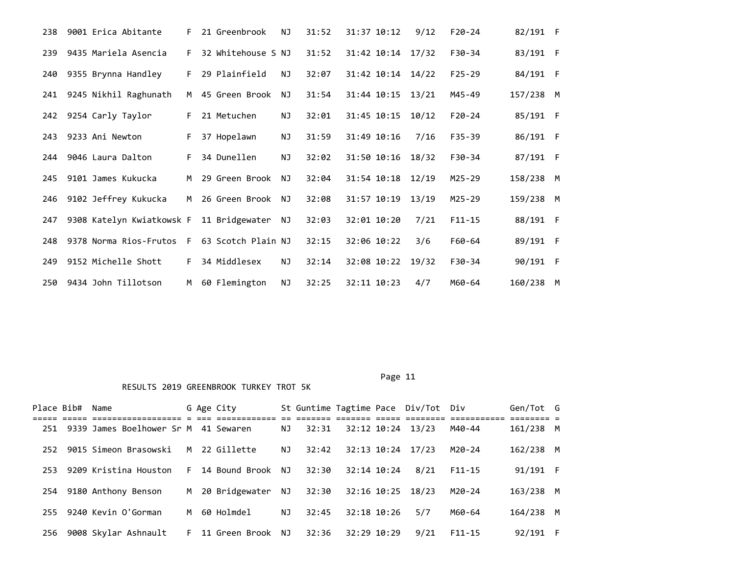| 238 | 9001 Erica Abitante       | F. | 21 Greenbrook      | ΝJ        | 31:52 | 31:37 10:12       | 9/12  | $F20-24$   | 82/191 F  |     |
|-----|---------------------------|----|--------------------|-----------|-------|-------------------|-------|------------|-----------|-----|
| 239 | 9435 Mariela Asencia      | F. | 32 Whitehouse S NJ |           | 31:52 | 31:42 10:14 17/32 |       | F30-34     | 83/191 F  |     |
| 240 | 9355 Brynna Handley       | F. | 29 Plainfield      | NJ        | 32:07 | 31:42 10:14 14/22 |       | $F25 - 29$ | 84/191 F  |     |
| 241 | 9245 Nikhil Raghunath     | M  | 45 Green Brook     | NJ        | 31:54 | 31:44 10:15 13/21 |       | M45-49     | 157/238 M |     |
| 242 | 9254 Carly Taylor         | F. | 21 Metuchen        | ΝJ        | 32:01 | 31:45 10:15       | 10/12 | $F20-24$   | 85/191 F  |     |
| 243 | 9233 Ani Newton           | F. | 37 Hopelawn        | NJ        | 31:59 | 31:49 10:16       | 7/16  | $F35 - 39$ | 86/191 F  |     |
| 244 | 9046 Laura Dalton         | F. | 34 Dunellen        | NJ        | 32:02 | 31:50 10:16       | 18/32 | $F30-34$   | 87/191 F  |     |
| 245 | 9101 James Kukucka        | M  | 29 Green Brook     | NJ        | 32:04 | 31:54 10:18       | 12/19 | $M25 - 29$ | 158/238 M |     |
| 246 | 9102 Jeffrey Kukucka      | M  | 26 Green Brook NJ  |           | 32:08 | 31:57 10:19       | 13/19 | $M25 - 29$ | 159/238 M |     |
| 247 | 9308 Katelyn Kwiatkowsk F |    | 11 Bridgewater     | NJ        | 32:03 | 32:01 10:20       | 7/21  | $F11 - 15$ | 88/191 F  |     |
| 248 | 9378 Norma Rios-Frutos F  |    | 63 Scotch Plain NJ |           | 32:15 | 32:06 10:22       | 3/6   | F60-64     | 89/191    | - F |
| 249 | 9152 Michelle Shott       | F. | 34 Middlesex       | <b>NJ</b> | 32:14 | 32:08 10:22       | 19/32 | $F30-34$   | 90/191    | - F |
| 250 | 9434 John Tillotson       | M  | 60 Flemington      | NJ        | 32:25 | 32:11 10:23       | 4/7   | M60-64     | 160/238   | M   |

Page 11

| Place Bib# | Name                                 |    | G Age City          |     |       |             |                 | St Guntime Tagtime Pace Div/Tot Div    |            | Gen/Tot G     |     |
|------------|--------------------------------------|----|---------------------|-----|-------|-------------|-----------------|----------------------------------------|------------|---------------|-----|
|            |                                      |    |                     |     |       |             |                 | <u>-- ------- ------- ----- ------</u> |            | aa aaaaaaaa a |     |
| 251        | 9339 James Boelhower Sr M 41 Sewaren |    |                     | NJ  | 32:31 |             |                 | 32:12 10:24 13/23                      | M40-44     | 161/238 M     |     |
| 252        | 9015 Simeon Brasowski                | M  | 22 Gillette         | NJ. | 32:42 |             |                 | 32:13 10:24 17/23                      | M20-24     | 162/238 M     |     |
| 253        | 9209 Kristina Houston                | F. | 14 Bound Brook NJ   |     | 32:30 |             | $32:14$ $10:24$ | 8/21                                   | $F11 - 15$ | 91/191 F      |     |
| 254        | 9180 Anthony Benson                  |    | M 20 Bridgewater NJ |     | 32:30 |             |                 | 32:16 10:25 18/23                      | M20-24     | 163/238 M     |     |
| 255        | 9240 Kevin O'Gorman                  |    | M 60 Holmdel        | NJ  | 32:45 |             | 32:18 10:26     | 5/7                                    | M60-64     | 164/238 M     |     |
| 256        | 9008 Skylar Ashnault                 | F. | 11 Green Brook NJ   |     | 32:36 | 32:29 10:29 |                 | 9/21                                   | $F11 - 15$ | 92/191        | - F |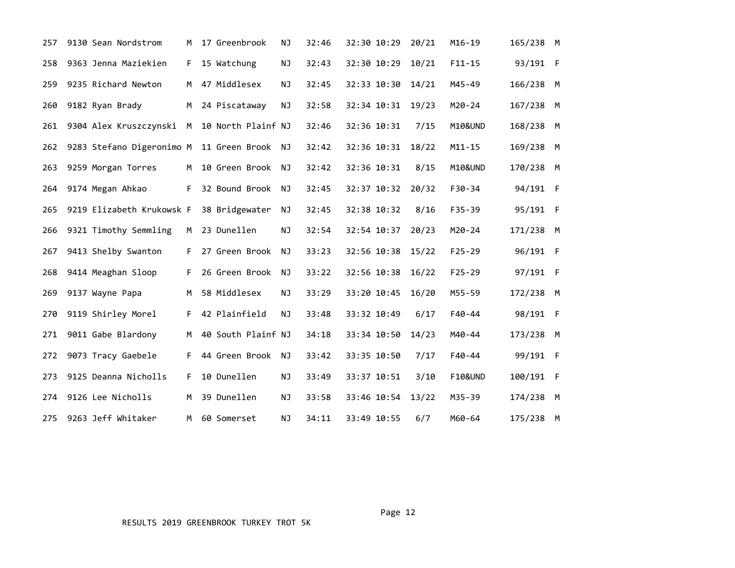| 257 | 9130 Sean Nordstrom       | M  | 17 Greenbrook      | ΝJ        | 32:46 | 32:30 10:29 | 20/21 | $M16 - 19$ | 165/238 M |  |
|-----|---------------------------|----|--------------------|-----------|-------|-------------|-------|------------|-----------|--|
| 258 | 9363 Jenna Maziekien      | F. | 15 Watchung        | NJ        | 32:43 | 32:30 10:29 | 10/21 | $F11 - 15$ | 93/191 F  |  |
| 259 | 9235 Richard Newton       | M  | 47 Middlesex       | <b>NJ</b> | 32:45 | 32:33 10:30 | 14/21 | M45-49     | 166/238 M |  |
| 260 | 9182 Ryan Brady           | M  | 24 Piscataway      | ΝJ        | 32:58 | 32:34 10:31 | 19/23 | $M20 - 24$ | 167/238 M |  |
| 261 | 9304 Alex Kruszczynski M  |    | 10 North Plainf NJ |           | 32:46 | 32:36 10:31 | 7/15  | M10&UND    | 168/238 M |  |
| 262 | 9283 Stefano Digeronimo M |    | 11 Green Brook     | NJ        | 32:42 | 32:36 10:31 | 18/22 | $M11 - 15$ | 169/238 M |  |
| 263 | 9259 Morgan Torres        | M  | 10 Green Brook     | NJ        | 32:42 | 32:36 10:31 | 8/15  | M10&UND    | 170/238 M |  |
| 264 | 9174 Megan Ahkao          | F. | 32 Bound Brook     | NJ        | 32:45 | 32:37 10:32 | 20/32 | F30-34     | 94/191 F  |  |
| 265 | 9219 Elizabeth Krukowsk F |    | 38 Bridgewater     | ΝJ        | 32:45 | 32:38 10:32 | 8/16  | $F35 - 39$ | 95/191 F  |  |
| 266 | 9321 Timothy Semmling     | M  | 23 Dunellen        | NJ        | 32:54 | 32:54 10:37 | 20/23 | $M20 - 24$ | 171/238 M |  |
| 267 | 9413 Shelby Swanton       | F. | 27 Green Brook     | NJ        | 33:23 | 32:56 10:38 | 15/22 | $F25 - 29$ | 96/191 F  |  |
| 268 | 9414 Meaghan Sloop        | F. | 26 Green Brook     | NJ        | 33:22 | 32:56 10:38 | 16/22 | $F25 - 29$ | 97/191 F  |  |
| 269 | 9137 Wayne Papa           | M  | 58 Middlesex       | NJ        | 33:29 | 33:20 10:45 | 16/20 | M55-59     | 172/238 M |  |
| 270 | 9119 Shirley Morel        | F. | 42 Plainfield      | NJ        | 33:48 | 33:32 10:49 | 6/17  | $F40 - 44$ | 98/191 F  |  |
| 271 | 9011 Gabe Blardony        | M  | 40 South Plainf NJ |           | 34:18 | 33:34 10:50 | 14/23 | M40-44     | 173/238 M |  |
| 272 | 9073 Tracy Gaebele        | F. | 44 Green Brook     | NJ        | 33:42 | 33:35 10:50 | 7/17  | $F40 - 44$ | 99/191 F  |  |
| 273 | 9125 Deanna Nicholls      | F. | 10 Dunellen        | <b>NJ</b> | 33:49 | 33:37 10:51 | 3/10  | F10&UND    | 100/191 F |  |
| 274 | 9126 Lee Nicholls         | M  | 39 Dunellen        | NJ        | 33:58 | 33:46 10:54 | 13/22 | M35-39     | 174/238 M |  |
| 275 | 9263 Jeff Whitaker        | M  | 60 Somerset        | NJ        | 34:11 | 33:49 10:55 | 6/7   | M60-64     | 175/238 M |  |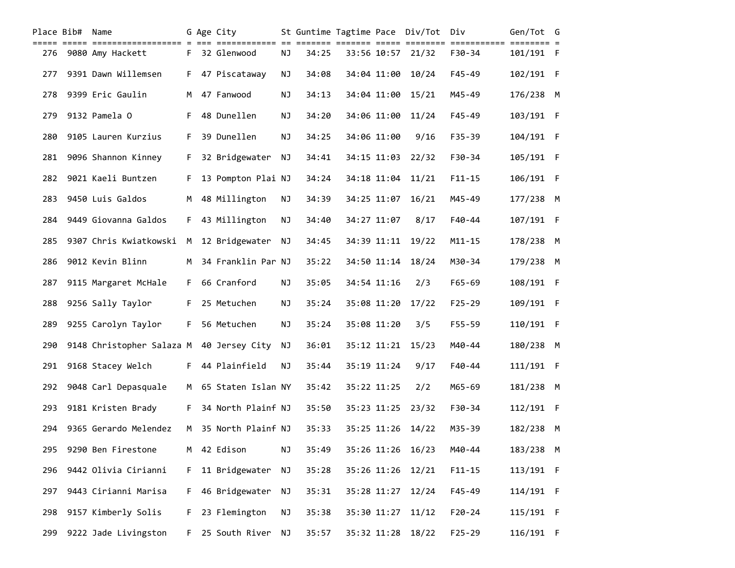|     | Place Bib# Name |                           |    | G Age City           |    |       |             | St Guntime Tagtime Pace Div/Tot Div |            | Gen/Tot G |  |
|-----|-----------------|---------------------------|----|----------------------|----|-------|-------------|-------------------------------------|------------|-----------|--|
| 276 |                 | 9080 Amy Hackett          |    | F 32 Glenwood        | NJ | 34:25 |             | 33:56 10:57 21/32                   | $F30-34$   | 101/191 F |  |
| 277 |                 | 9391 Dawn Willemsen       | F. | 47 Piscataway        | NJ | 34:08 | 34:04 11:00 | 10/24                               | F45-49     | 102/191 F |  |
| 278 |                 | 9399 Eric Gaulin          | M  | 47 Fanwood           | ΝJ | 34:13 | 34:04 11:00 | 15/21                               | M45-49     | 176/238 M |  |
| 279 |                 | 9132 Pamela O             | F. | 48 Dunellen          | NJ | 34:20 | 34:06 11:00 | 11/24                               | F45-49     | 103/191 F |  |
| 280 |                 | 9105 Lauren Kurzius       | F. | 39 Dunellen          | NJ | 34:25 | 34:06 11:00 | 9/16                                | F35-39     | 104/191 F |  |
| 281 |                 | 9096 Shannon Kinney       | F. | 32 Bridgewater       | NJ | 34:41 | 34:15 11:03 | 22/32                               | F30-34     | 105/191 F |  |
| 282 |                 | 9021 Kaeli Buntzen        | F. | 13 Pompton Plai NJ   |    | 34:24 | 34:18 11:04 | 11/21                               | $F11 - 15$ | 106/191 F |  |
| 283 |                 | 9450 Luis Galdos          | м  | 48 Millington        | ΝJ | 34:39 | 34:25 11:07 | 16/21                               | M45-49     | 177/238 M |  |
| 284 |                 | 9449 Giovanna Galdos      | F. | 43 Millington        | ΝJ | 34:40 | 34:27 11:07 | 8/17                                | $F40 - 44$ | 107/191 F |  |
| 285 |                 | 9307 Chris Kwiatkowski    | M  | 12 Bridgewater       | NJ | 34:45 | 34:39 11:11 | 19/22                               | $M11 - 15$ | 178/238 M |  |
| 286 |                 | 9012 Kevin Blinn          | M  | 34 Franklin Par NJ   |    | 35:22 | 34:50 11:14 | 18/24                               | M30-34     | 179/238 M |  |
| 287 |                 | 9115 Margaret McHale      | F. | 66 Cranford          | NJ | 35:05 | 34:54 11:16 | 2/3                                 | F65-69     | 108/191 F |  |
| 288 |                 | 9256 Sally Taylor         | F. | 25 Metuchen          | NJ | 35:24 | 35:08 11:20 | 17/22                               | $F25 - 29$ | 109/191 F |  |
| 289 |                 | 9255 Carolyn Taylor       | F. | 56 Metuchen          | NJ | 35:24 | 35:08 11:20 | 3/5                                 | F55-59     | 110/191 F |  |
| 290 |                 | 9148 Christopher Salaza M |    | 40 Jersey City       | ΝJ | 36:01 | 35:12 11:21 | 15/23                               | M40-44     | 180/238 M |  |
| 291 |                 | 9168 Stacey Welch         | F. | 44 Plainfield        | NJ | 35:44 | 35:19 11:24 | 9/17                                | $F40 - 44$ | 111/191 F |  |
| 292 |                 | 9048 Carl Depasquale      |    | M 65 Staten Islan NY |    | 35:42 | 35:22 11:25 | 2/2                                 | M65-69     | 181/238 M |  |
| 293 |                 | 9181 Kristen Brady        | F. | 34 North Plainf NJ   |    | 35:50 | 35:23 11:25 | 23/32                               | F30-34     | 112/191 F |  |
| 294 |                 | 9365 Gerardo Melendez     | M  | 35 North Plainf NJ   |    | 35:33 |             | 35:25 11:26 14/22                   | M35-39     | 182/238 M |  |
| 295 |                 | 9290 Ben Firestone        | М  | 42 Edison            | ΝJ | 35:49 | 35:26 11:26 | 16/23                               | M40-44     | 183/238 M |  |
| 296 |                 | 9442 Olivia Cirianni      | F. | 11 Bridgewater       | ΝJ | 35:28 | 35:26 11:26 | 12/21                               | $F11 - 15$ | 113/191 F |  |
| 297 |                 | 9443 Cirianni Marisa      | F. | 46 Bridgewater       | ΝJ | 35:31 | 35:28 11:27 | 12/24                               | F45-49     | 114/191 F |  |
| 298 |                 | 9157 Kimberly Solis       | F. | 23 Flemington        | ΝJ | 35:38 | 35:30 11:27 | 11/12                               | $F20 - 24$ | 115/191 F |  |
| 299 |                 | 9222 Jade Livingston      | F. | 25 South River       | NJ | 35:57 | 35:32 11:28 | 18/22                               | $F25 - 29$ | 116/191 F |  |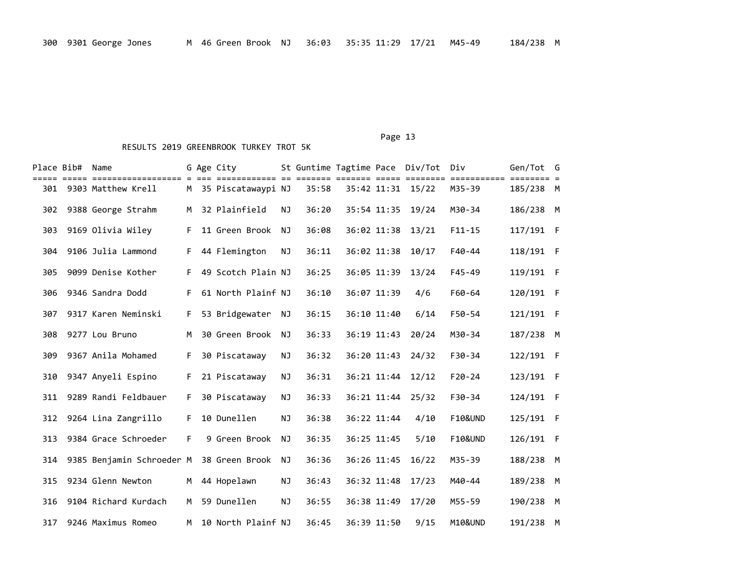| Place Bib# | Name                      |    | G Age City           |    | St Guntime Tagtime Pace Div/Tot |             |                   | Div                | Gen/Tot   | G   |
|------------|---------------------------|----|----------------------|----|---------------------------------|-------------|-------------------|--------------------|-----------|-----|
| 301        | 9303 Matthew Krell        |    | M 35 Piscatawaypi NJ |    | 35:58                           |             | 35:42 11:31 15/22 | M35-39             | 185/238 M |     |
| 302        | 9388 George Strahm        | M  | 32 Plainfield        | NJ | 36:20                           | 35:54 11:35 | 19/24             | M30-34             | 186/238 M |     |
| 303        | 9169 Olivia Wiley         | F. | 11 Green Brook       | NJ | 36:08                           | 36:02 11:38 | 13/21             | $F11 - 15$         | 117/191 F |     |
| 304        | 9106 Julia Lammond        | F. | 44 Flemington        | NJ | 36:11                           | 36:02 11:38 | 10/17             | F40-44             | 118/191 F |     |
| 305        | 9099 Denise Kother        | F. | 49 Scotch Plain NJ   |    | 36:25                           | 36:05 11:39 | 13/24             | $F45 - 49$         | 119/191 F |     |
| 306        | 9346 Sandra Dodd          | F. | 61 North Plainf NJ   |    | 36:10                           | 36:07 11:39 | 4/6               | F60-64             | 120/191   | - F |
| 307        | 9317 Karen Neminski       | F. | 53 Bridgewater       | NJ | 36:15                           | 36:10 11:40 | 6/14              | F50-54             | 121/191 F |     |
| 308        | 9277 Lou Bruno            | M  | 30 Green Brook       | NJ | 36:33                           | 36:19 11:43 | 20/24             | M30-34             | 187/238 M |     |
| 309        | 9367 Anila Mohamed        | F. | 30 Piscataway        | ΝJ | 36:32                           | 36:20 11:43 | 24/32             | F30-34             | 122/191 F |     |
| 310        | 9347 Anyeli Espino        | F. | 21 Piscataway        | NJ | 36:31                           | 36:21 11:44 | 12/12             | $F20 - 24$         | 123/191 F |     |
| 311        | 9289 Randi Feldbauer      | F. | 30 Piscataway        | ΝJ | 36:33                           | 36:21 11:44 | 25/32             | F30-34             | 124/191 F |     |
| 312        | 9264 Lina Zangrillo       | F. | 10 Dunellen          | NJ | 36:38                           | 36:22 11:44 | 4/10              | <b>F10&amp;UND</b> | 125/191 F |     |
| 313        | 9384 Grace Schroeder      | F. | 9 Green Brook        | ΝJ | 36:35                           | 36:25 11:45 | 5/10              | <b>F10&amp;UND</b> | 126/191   | - F |
| 314        | 9385 Benjamin Schroeder M |    | 38 Green Brook       | ΝJ | 36:36                           | 36:26 11:45 | 16/22             | M35-39             | 188/238   | M   |
| 315        | 9234 Glenn Newton         | M  | 44 Hopelawn          | ΝJ | 36:43                           | 36:32 11:48 | 17/23             | M40-44             | 189/238   | M   |
| 316        | 9104 Richard Kurdach      | M  | 59 Dunellen          | ΝJ | 36:55                           | 36:38 11:49 | 17/20             | M55-59             | 190/238   | M   |
| 317        | 9246 Maximus Romeo        | M  | 10 North Plainf NJ   |    | 36:45                           | 36:39 11:50 | 9/15              | M10&UND            | 191/238   | M   |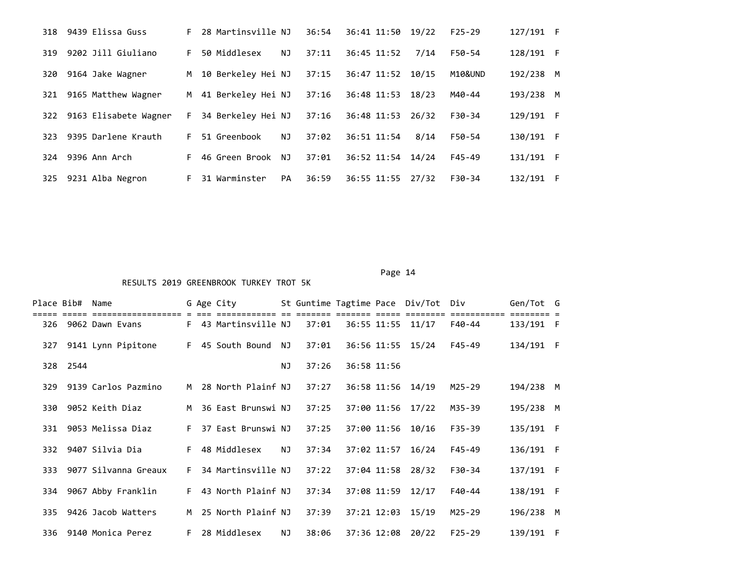| 318 | 9439 Elissa Guss          | F. | 28 Martinsville NJ |     | 36:54 | 36:41 11:50 19/22 |       | $F25-29$ | 127/191 F |     |
|-----|---------------------------|----|--------------------|-----|-------|-------------------|-------|----------|-----------|-----|
| 319 | 9202 Jill Giuliano        | F. | 50 Middlesex       | NJ  | 37:11 | 36:45 11:52       | 7/14  | F50-54   | 128/191 F |     |
| 320 | 9164 Jake Wagner          | M  | 10 Berkeley Hei NJ |     | 37:15 | 36:47 11:52       | 10/15 | M10&UND  | 192/238   | M   |
| 321 | 9165 Matthew Wagner       | M  | 41 Berkeley Hei NJ |     | 37:16 | 36:48 11:53       | 18/23 | M40-44   | 193/238 M |     |
|     | 322 9163 Elisabete Wagner | F. | 34 Berkeley Hei NJ |     | 37:16 | 36:48 11:53       | 26/32 | F30-34   | 129/191 F |     |
| 323 | 9395 Darlene Krauth       | F. | 51 Greenbook       | ΝJ  | 37:02 | 36:51 11:54       | 8/14  | F50-54   | 130/191 F |     |
| 324 | 9396 Ann Arch             | F. | 46 Green Brook     | NJ. | 37:01 | 36:52 11:54       | 14/24 | $F45-49$ | 131/191   | - F |
| 325 | 9231 Alba Negron          | F. | 31 Warminster      | PA  | 36:59 | 36:55 11:55 27/32 |       | F30-34   | 132/191   | - F |
|     |                           |    |                    |     |       |                   |       |          |           |     |

| Place Bib# |      | Name                  |    | G Age City           |    |       |             | St Guntime Tagtime Pace Div/Tot Div |          | Gen/Tot G |  |
|------------|------|-----------------------|----|----------------------|----|-------|-------------|-------------------------------------|----------|-----------|--|
|            |      |                       |    |                      |    |       |             |                                     |          |           |  |
| 326        |      | 9062 Dawn Evans       |    | F 43 Martinsville NJ |    | 37:01 |             | 36:55 11:55 11/17                   | F40-44   | 133/191 F |  |
| 327        |      | 9141 Lynn Pipitone    |    | F 45 South Bound     | NJ | 37:01 |             | 36:56 11:55 15/24                   | F45-49   | 134/191 F |  |
| 328        | 2544 |                       |    |                      | NJ | 37:26 | 36:58 11:56 |                                     |          |           |  |
| 329        |      | 9139 Carlos Pazmino   | M  | 28 North Plainf NJ   |    | 37:27 |             | 36:58 11:56 14/19                   | M25-29   | 194/238 M |  |
| 330        |      | 9052 Keith Diaz       |    | M 36 East Brunswi NJ |    | 37:25 |             | 37:00 11:56 17/22                   | M35-39   | 195/238 M |  |
| 331        |      | 9053 Melissa Diaz     | F. | 37 East Brunswi NJ   |    | 37:25 |             | 37:00 11:56 10/16                   | F35-39   | 135/191 F |  |
| 332        |      | 9407 Silvia Dia       | F. | 48 Middlesex         | NJ | 37:34 |             | 37:02 11:57 16/24                   | F45-49   | 136/191 F |  |
| 333        |      | 9077 Silvanna Greaux  | F. | 34 Martinsville NJ   |    | 37:22 |             | 37:04 11:58 28/32                   | F30-34   | 137/191 F |  |
| 334        |      | 9067 Abby Franklin    | F. | 43 North Plainf NJ   |    | 37:34 |             | 37:08 11:59 12/17                   | F40-44   | 138/191 F |  |
| 335        |      | 9426 Jacob Watters    | M  | 25 North Plainf NJ   |    | 37:39 |             | 37:21 12:03 15/19                   | M25-29   | 196/238 M |  |
|            |      | 336 9140 Monica Perez | F. | 28 Middlesex         | ΝJ | 38:06 |             | 37:36 12:08 20/22                   | $F25-29$ | 139/191 F |  |

Page 14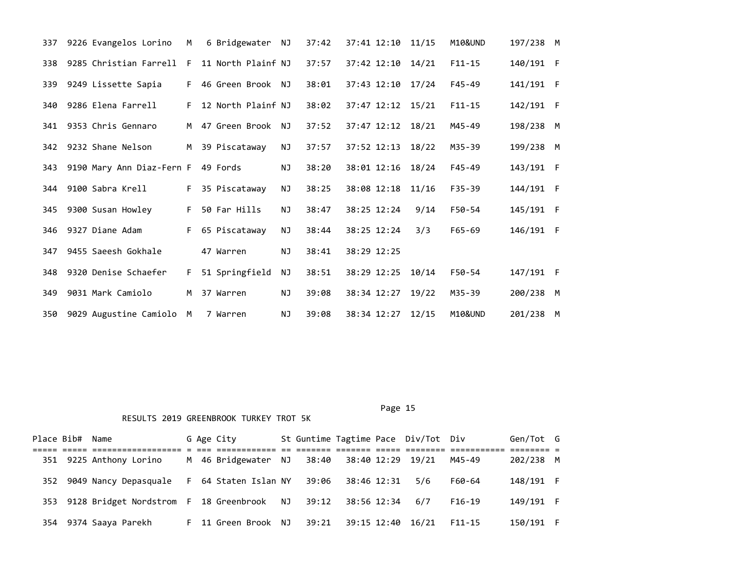| 337 | 9226 Evangelos Lorino     | M  | 6 Bridgewater      | ΝJ        | 37:42 |             | 37:41 12:10 11/15 |       | M10&UND    | 197/238 M |   |
|-----|---------------------------|----|--------------------|-----------|-------|-------------|-------------------|-------|------------|-----------|---|
| 338 | 9285 Christian Farrell    | -F | 11 North Plainf NJ |           | 37:57 |             | 37:42 12:10       | 14/21 | $F11 - 15$ | 140/191 F |   |
| 339 | 9249 Lissette Sapia       | F. | 46 Green Brook NJ  |           | 38:01 |             | 37:43 12:10 17/24 |       | $F45 - 49$ | 141/191 F |   |
| 340 | 9286 Elena Farrell        | F. | 12 North Plainf NJ |           | 38:02 |             | 37:47 12:12 15/21 |       | $F11 - 15$ | 142/191 F |   |
| 341 | 9353 Chris Gennaro        | M  | 47 Green Brook     | NJ.       | 37:52 |             | 37:47 12:12 18/21 |       | M45-49     | 198/238   | M |
| 342 | 9232 Shane Nelson         | M  | 39 Piscataway      | NJ        | 37:57 |             | 37:52 12:13       | 18/22 | M35-39     | 199/238 M |   |
| 343 | 9190 Mary Ann Diaz-Fern F |    | 49 Fords           | <b>NJ</b> | 38:20 |             | 38:01 12:16       | 18/24 | $F45 - 49$ | 143/191 F |   |
| 344 | 9100 Sabra Krell          | F. | 35 Piscataway      | NJ        | 38:25 |             | 38:08 12:18       | 11/16 | F35-39     | 144/191 F |   |
| 345 | 9300 Susan Howley         | F. | 50 Far Hills       | ΝJ        | 38:47 | 38:25 12:24 |                   | 9/14  | F50-54     | 145/191 F |   |
| 346 | 9327 Diane Adam           | F. | 65 Piscataway      | NJ        | 38:44 | 38:25 12:24 |                   | 3/3   | $F65 - 69$ | 146/191 F |   |
| 347 | 9455 Saeesh Gokhale       |    | 47 Warren          | <b>NJ</b> | 38:41 | 38:29 12:25 |                   |       |            |           |   |
| 348 | 9320 Denise Schaefer      | F. | 51 Springfield     | NJ        | 38:51 |             | 38:29 12:25       | 10/14 | F50-54     | 147/191 F |   |
| 349 | 9031 Mark Camiolo         | M  | 37 Warren          | NJ        | 39:08 |             | 38:34 12:27       | 19/22 | M35-39     | 200/238   | M |
| 350 | 9029 Augustine Camiolo    | M  | 7 Warren           | ΝJ        | 39:08 |             | 38:34 12:27       | 12/15 | M10&UND    | 201/238 M |   |

|  | Place Bib# Name                                     |  | G Age City                                  |       |             | St Guntime Tagtime Pace Div/Tot Div |            | Gen/Tot G |  |
|--|-----------------------------------------------------|--|---------------------------------------------|-------|-------------|-------------------------------------|------------|-----------|--|
|  |                                                     |  |                                             |       |             |                                     |            |           |  |
|  | 351 9225 Anthony Lorino                             |  | M 46 Bridgewater NJ 38:40 38:40 12:29 19/21 |       |             |                                     | M45-49     | 202/238 M |  |
|  | 352 9049 Nancy Depasquale                           |  | F 64 Staten Islan NY                        | 39:06 | 38:46 12:31 | 5/6                                 | F60-64     | 148/191 F |  |
|  | 353 9128 Bridget Nordstrom F 18 Greenbrook NJ 39:12 |  |                                             |       | 38:56 12:34 | 6/7                                 | $F16-19$   | 149/191 F |  |
|  | 354 9374 Saaya Parekh                               |  | F 11 Green Brook NJ                         | 39:21 |             | 39:15 12:40 16/21                   | $F11 - 15$ | 150/191 F |  |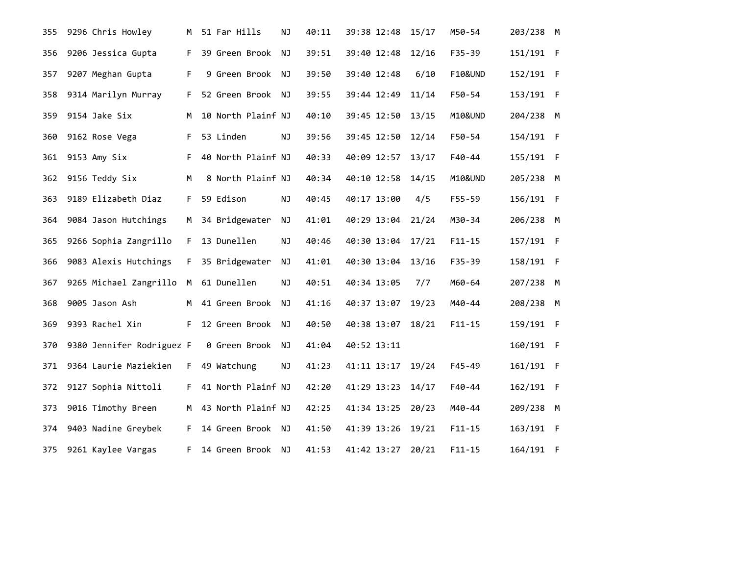| 355 | 9296 Chris Howley         | м  | 51 Far Hills       | NJ        | 40:11 | 39:38 12:48 |                   | 15/17 | M50-54     | 203/238 M |  |
|-----|---------------------------|----|--------------------|-----------|-------|-------------|-------------------|-------|------------|-----------|--|
| 356 | 9206 Jessica Gupta        | F. | 39 Green Brook     | <b>NJ</b> | 39:51 | 39:40 12:48 |                   | 12/16 | $F35 - 39$ | 151/191 F |  |
| 357 | 9207 Meghan Gupta         | F. | 9 Green Brook      | ΝJ        | 39:50 | 39:40 12:48 |                   | 6/10  | F10&UND    | 152/191 F |  |
| 358 | 9314 Marilyn Murray       | F. | 52 Green Brook NJ  |           | 39:55 | 39:44 12:49 |                   | 11/14 | F50-54     | 153/191 F |  |
| 359 | 9154 Jake Six             | м  | 10 North Plainf NJ |           | 40:10 |             | 39:45 12:50       | 13/15 | M10&UND    | 204/238 M |  |
| 360 | 9162 Rose Vega            | F. | 53 Linden          | NJ        | 39:56 |             | 39:45 12:50       | 12/14 | F50-54     | 154/191 F |  |
| 361 | 9153 Amy Six              | F. | 40 North Plainf NJ |           | 40:33 | 40:09 12:57 |                   | 13/17 | F40-44     | 155/191 F |  |
| 362 | 9156 Teddy Six            | M  | 8 North Plainf NJ  |           | 40:34 | 40:10 12:58 |                   | 14/15 | M10&UND    | 205/238 M |  |
| 363 | 9189 Elizabeth Diaz       | F. | 59 Edison          | NJ        | 40:45 | 40:17 13:00 |                   | 4/5   | F55-59     | 156/191 F |  |
| 364 | 9084 Jason Hutchings      | м  | 34 Bridgewater     | NJ        | 41:01 | 40:29 13:04 |                   | 21/24 | M30-34     | 206/238 M |  |
| 365 | 9266 Sophia Zangrillo     | F. | 13 Dunellen        | NJ        | 40:46 |             | 40:30 13:04 17/21 |       | $F11 - 15$ | 157/191 F |  |
| 366 | 9083 Alexis Hutchings     | F. | 35 Bridgewater     | NJ        | 41:01 |             | 40:30 13:04       | 13/16 | F35-39     | 158/191 F |  |
| 367 | 9265 Michael Zangrillo    | M  | 61 Dunellen        | NJ        | 40:51 | 40:34 13:05 |                   | 7/7   | M60-64     | 207/238 M |  |
| 368 | 9005 Jason Ash            | M  | 41 Green Brook     | NJ        | 41:16 | 40:37 13:07 |                   | 19/23 | M40-44     | 208/238 M |  |
| 369 | 9393 Rachel Xin           | F. | 12 Green Brook     | ΝJ        | 40:50 |             | 40:38 13:07       | 18/21 | $F11 - 15$ | 159/191 F |  |
| 370 | 9380 Jennifer Rodriguez F |    | 0 Green Brook      | ΝJ        | 41:04 | 40:52 13:11 |                   |       |            | 160/191 F |  |
| 371 | 9364 Laurie Maziekien     | F. | 49 Watchung        | NJ        | 41:23 |             | 41:11 13:17       | 19/24 | $F45 - 49$ | 161/191 F |  |
| 372 | 9127 Sophia Nittoli       | F. | 41 North Plainf NJ |           | 42:20 | 41:29 13:23 |                   | 14/17 | $F40-44$   | 162/191 F |  |
| 373 | 9016 Timothy Breen        | M  | 43 North Plainf NJ |           | 42:25 | 41:34 13:25 |                   | 20/23 | M40-44     | 209/238 M |  |
| 374 | 9403 Nadine Greybek       | F. | 14 Green Brook NJ  |           | 41:50 | 41:39 13:26 |                   | 19/21 | $F11 - 15$ | 163/191 F |  |
| 375 | 9261 Kaylee Vargas        | F. | 14 Green Brook     | ΝJ        | 41:53 |             | 41:42 13:27       | 20/21 | $F11 - 15$ | 164/191 F |  |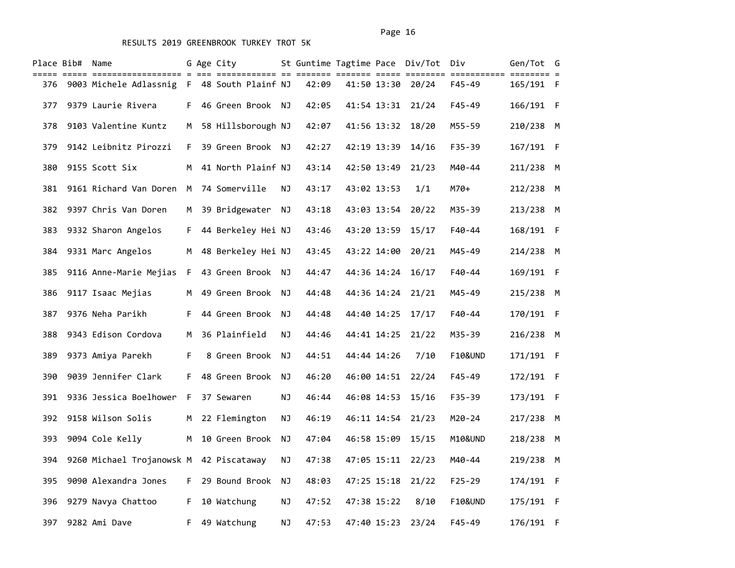|     | Place Bib# Name |                                             |    | G Age City           |     |       |             | St Guntime Tagtime Pace Div/Tot Div |                    | Gen/Tot G |  |
|-----|-----------------|---------------------------------------------|----|----------------------|-----|-------|-------------|-------------------------------------|--------------------|-----------|--|
| 376 |                 | 9003 Michele Adlassnig F 48 South Plainf NJ |    |                      |     | 42:09 | 41:50 13:30 | 20/24                               | F45-49             | 165/191 F |  |
| 377 |                 | 9379 Laurie Rivera                          |    | F 46 Green Brook NJ  |     | 42:05 |             | 41:54 13:31 21/24                   | $F45 - 49$         | 166/191 F |  |
| 378 |                 | 9103 Valentine Kuntz                        | M  | 58 Hillsborough NJ   |     | 42:07 | 41:56 13:32 | 18/20                               | M55-59             | 210/238 M |  |
| 379 |                 | 9142 Leibnitz Pirozzi                       | F. | 39 Green Brook NJ    |     | 42:27 | 42:19 13:39 | 14/16                               | F35-39             | 167/191 F |  |
| 380 |                 | 9155 Scott Six                              | м  | 41 North Plainf NJ   |     | 43:14 | 42:50 13:49 | 21/23                               | M40-44             | 211/238 M |  |
| 381 |                 | 9161 Richard Van Doren                      | M  | 74 Somerville        | ΝJ  | 43:17 | 43:02 13:53 | 1/1                                 | M70+               | 212/238 M |  |
| 382 |                 | 9397 Chris Van Doren                        | M  | 39 Bridgewater NJ    |     | 43:18 | 43:03 13:54 | 20/22                               | M35-39             | 213/238 M |  |
| 383 |                 | 9332 Sharon Angelos                         |    | F 44 Berkeley Hei NJ |     | 43:46 |             | 43:20 13:59 15/17                   | F40-44             | 168/191 F |  |
| 384 |                 | 9331 Marc Angelos                           |    | M 48 Berkeley Hei NJ |     | 43:45 | 43:22 14:00 | 20/21                               | M45-49             | 214/238 M |  |
| 385 |                 | 9116 Anne-Marie Mejias                      | F  | 43 Green Brook NJ    |     | 44:47 | 44:36 14:24 | 16/17                               | $F40 - 44$         | 169/191 F |  |
| 386 |                 | 9117 Isaac Mejias                           |    | M 49 Green Brook NJ  |     | 44:48 |             | 44:36 14:24 21/21                   | M45-49             | 215/238 M |  |
| 387 |                 | 9376 Neha Parikh                            | F. | 44 Green Brook       | ΝJ  | 44:48 | 44:40 14:25 | 17/17                               | F40-44             | 170/191 F |  |
| 388 |                 | 9343 Edison Cordova                         | М  | 36 Plainfield        | ΝJ  | 44:46 | 44:41 14:25 | 21/22                               | M35-39             | 216/238 M |  |
| 389 |                 | 9373 Amiya Parekh                           | F. | 8 Green Brook NJ     |     | 44:51 | 44:44 14:26 | 7/10                                | F10&UND            | 171/191 F |  |
| 390 |                 | 9039 Jennifer Clark                         | F. | 48 Green Brook       | NJ. | 46:20 | 46:00 14:51 | 22/24                               | $F45 - 49$         | 172/191 F |  |
| 391 |                 | 9336 Jessica Boelhower                      | F. | 37 Sewaren           | NJ  | 46:44 | 46:08 14:53 | 15/16                               | $F35 - 39$         | 173/191 F |  |
| 392 |                 | 9158 Wilson Solis                           | M  | 22 Flemington        | ΝJ  | 46:19 |             | 46:11 14:54 21/23                   | M20-24             | 217/238 M |  |
| 393 |                 | 9094 Cole Kelly                             | M  | 10 Green Brook       | NJ. | 47:04 | 46:58 15:09 | 15/15                               | M10&UND            | 218/238 M |  |
| 394 |                 | 9260 Michael Trojanowsk M 42 Piscataway     |    |                      | ΝJ  | 47:38 | 47:05 15:11 | 22/23                               | M40-44             | 219/238 M |  |
| 395 |                 | 9090 Alexandra Jones                        |    | F 29 Bound Brook     | NJ. | 48:03 |             | 47:25 15:18 21/22                   | $F25 - 29$         | 174/191 F |  |
| 396 |                 | 9279 Navya Chattoo                          | F. | 10 Watchung          | ΝJ  | 47:52 | 47:38 15:22 | 8/10                                | <b>F10&amp;UND</b> | 175/191 F |  |
| 397 |                 | 9282 Ami Dave                               | F. | 49 Watchung          | ΝJ  | 47:53 | 47:40 15:23 | 23/24                               | F45-49             | 176/191 F |  |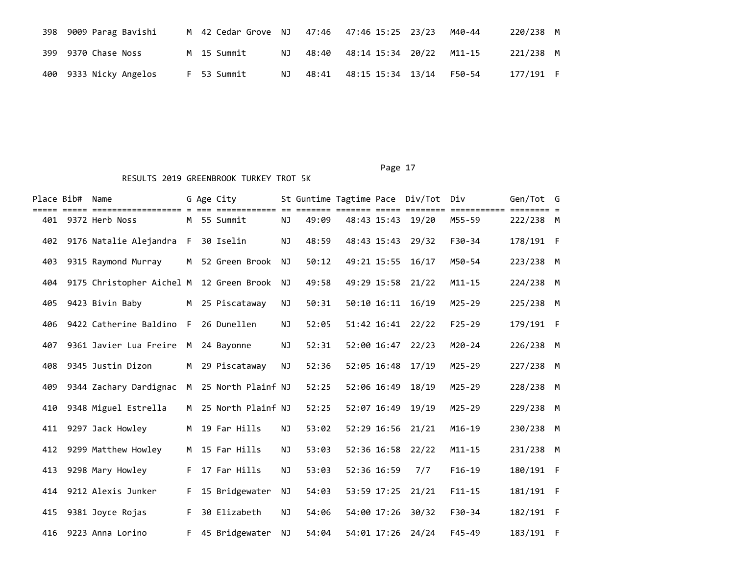| 398 9009 Parag Bavishi | M 42 Cedar Grove NJ |      |       | 47:46 47:46 15:25 23/23 | M40-44 | 220/238 M |     |
|------------------------|---------------------|------|-------|-------------------------|--------|-----------|-----|
| 399 9370 Chase Noss    | M 15 Summit         | NJ 1 | 48:40 | 48:14 15:34 20/22       | M11-15 | 221/238 M |     |
| 400 9333 Nicky Angelos | F 53 Summit         | NJ   |       | 48:41 48:15 15:34 13/14 | F50-54 | 177/191   | - F |

| Place Bib# | Name<br>===================              |    | G Age City<br>========== |           | St Guntime Tagtime Pace Div/Tot |             |                   | Div<br>======== | Gen/Tot G |  |
|------------|------------------------------------------|----|--------------------------|-----------|---------------------------------|-------------|-------------------|-----------------|-----------|--|
| 401        | 9372 Herb Noss                           |    | M 55 Summit              | <b>NJ</b> | 49:09                           |             | 48:43 15:43 19/20 | M55-59          | 222/238 M |  |
| 402        | 9176 Natalie Alejandra F                 |    | 30 Iselin                | NJ        | 48:59                           | 48:43 15:43 | 29/32             | F30-34          | 178/191 F |  |
| 403        | 9315 Raymond Murray                      | M  | 52 Green Brook           | NJ        | 50:12                           | 49:21 15:55 | 16/17             | M50-54          | 223/238 M |  |
| 404        | 9175 Christopher Aichel M 12 Green Brook |    |                          | NJ        | 49:58                           |             | 49:29 15:58 21/22 | $M11 - 15$      | 224/238 M |  |
| 405        | 9423 Bivin Baby                          |    | M 25 Piscataway          | NJ        | 50:31                           | 50:10 16:11 | 16/19             | M25-29          | 225/238 M |  |
| 406        | 9422 Catherine Baldino                   | F. | 26 Dunellen              | <b>NJ</b> | 52:05                           | 51:42 16:41 | 22/22             | $F25 - 29$      | 179/191 F |  |
| 407        | 9361 Javier Lua Freire                   | M  | 24 Bayonne               | NJ        | 52:31                           | 52:00 16:47 | 22/23             | M20-24          | 226/238 M |  |
| 408        | 9345 Justin Dizon                        | M  | 29 Piscataway            | <b>NJ</b> | 52:36                           | 52:05 16:48 | 17/19             | $M25 - 29$      | 227/238 M |  |
| 409        | 9344 Zachary Dardignac                   | M  | 25 North Plainf NJ       |           | 52:25                           | 52:06 16:49 | 18/19             | M25-29          | 228/238 M |  |
| 410        | 9348 Miguel Estrella                     | M  | 25 North Plainf NJ       |           | 52:25                           | 52:07 16:49 | 19/19             | M25-29          | 229/238 M |  |
| 411        | 9297 Jack Howley                         | M  | 19 Far Hills             | <b>NJ</b> | 53:02                           | 52:29 16:56 | 21/21             | $M16 - 19$      | 230/238 M |  |
| 412        | 9299 Matthew Howley                      | M  | 15 Far Hills             | NJ        | 53:03                           | 52:36 16:58 | 22/22             | $M11 - 15$      | 231/238 M |  |
| 413        | 9298 Mary Howley                         | F. | 17 Far Hills             | <b>NJ</b> | 53:03                           | 52:36 16:59 | 7/7               | $F16-19$        | 180/191 F |  |
| 414        | 9212 Alexis Junker                       | F. | 15 Bridgewater           | NJ        | 54:03                           | 53:59 17:25 | 21/21             | $F11 - 15$      | 181/191 F |  |
| 415        | 9381 Joyce Rojas                         | F. | 30 Elizabeth             | <b>NJ</b> | 54:06                           | 54:00 17:26 | 30/32             | F30-34          | 182/191 F |  |
| 416        | 9223 Anna Lorino                         | F. | 45 Bridgewater           | ΝJ        | 54:04                           |             | 54:01 17:26 24/24 | $F45 - 49$      | 183/191 F |  |